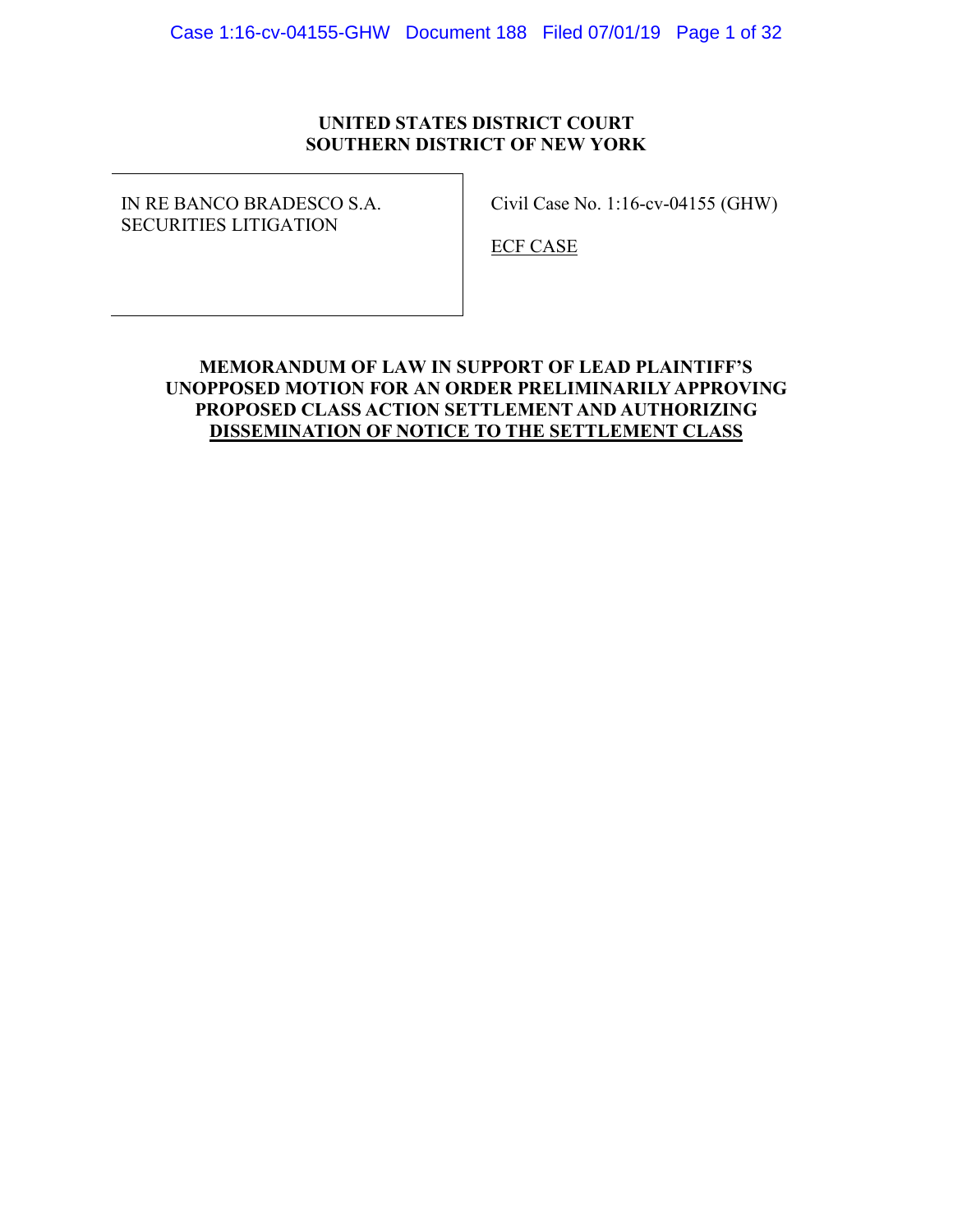## **UNITED STATES DISTRICT COURT SOUTHERN DISTRICT OF NEW YORK**

IN RE BANCO BRADESCO S.A. SECURITIES LITIGATION

Civil Case No. 1:16-cv-04155 (GHW)

ECF CASE

## **MEMORANDUM OF LAW IN SUPPORT OF LEAD PLAINTIFF'S UNOPPOSED MOTION FOR AN ORDER PRELIMINARILY APPROVING PROPOSED CLASS ACTION SETTLEMENT AND AUTHORIZING DISSEMINATION OF NOTICE TO THE SETTLEMENT CLASS**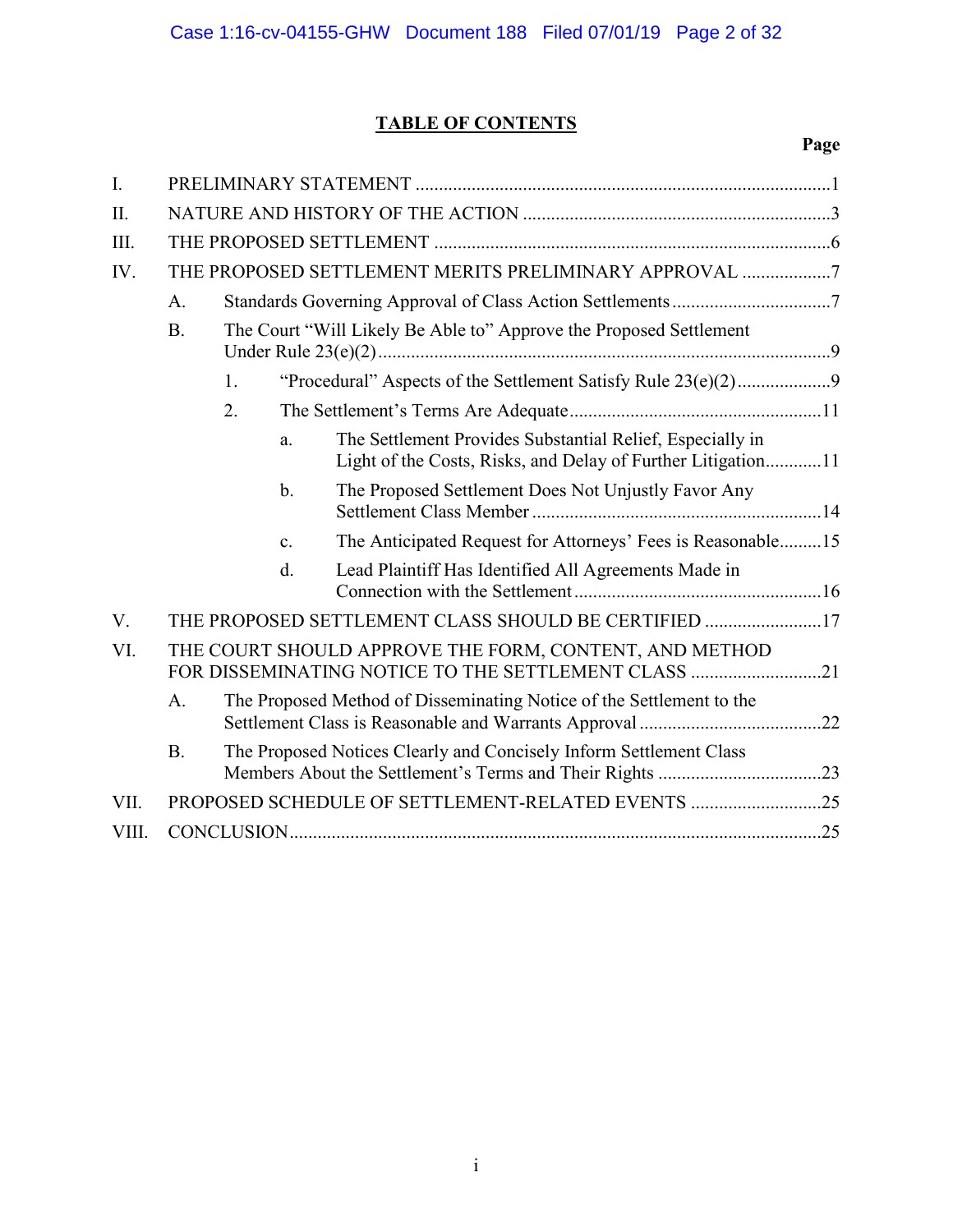# **TABLE OF CONTENTS**

| I.                                                                         |                                                                                                               |                                                                    |                |                                                                                                                           |  |  |
|----------------------------------------------------------------------------|---------------------------------------------------------------------------------------------------------------|--------------------------------------------------------------------|----------------|---------------------------------------------------------------------------------------------------------------------------|--|--|
| II.                                                                        |                                                                                                               |                                                                    |                |                                                                                                                           |  |  |
| III.                                                                       |                                                                                                               |                                                                    |                |                                                                                                                           |  |  |
| IV.                                                                        |                                                                                                               | THE PROPOSED SETTLEMENT MERITS PRELIMINARY APPROVAL 7              |                |                                                                                                                           |  |  |
|                                                                            | A.                                                                                                            |                                                                    |                |                                                                                                                           |  |  |
|                                                                            | <b>B.</b>                                                                                                     | The Court "Will Likely Be Able to" Approve the Proposed Settlement |                |                                                                                                                           |  |  |
|                                                                            |                                                                                                               | 1.                                                                 |                | "Procedural" Aspects of the Settlement Satisfy Rule 23(e)(2)9                                                             |  |  |
|                                                                            | 2.                                                                                                            |                                                                    |                |                                                                                                                           |  |  |
|                                                                            |                                                                                                               |                                                                    | a.             | The Settlement Provides Substantial Relief, Especially in<br>Light of the Costs, Risks, and Delay of Further Litigation11 |  |  |
|                                                                            |                                                                                                               |                                                                    | b.             | The Proposed Settlement Does Not Unjustly Favor Any                                                                       |  |  |
|                                                                            |                                                                                                               |                                                                    | $\mathbf{c}$ . | The Anticipated Request for Attorneys' Fees is Reasonable15                                                               |  |  |
|                                                                            |                                                                                                               |                                                                    | d.             | Lead Plaintiff Has Identified All Agreements Made in                                                                      |  |  |
| V.                                                                         | THE PROPOSED SETTLEMENT CLASS SHOULD BE CERTIFIED 17                                                          |                                                                    |                |                                                                                                                           |  |  |
| VI.                                                                        | THE COURT SHOULD APPROVE THE FORM, CONTENT, AND METHOD<br>FOR DISSEMINATING NOTICE TO THE SETTLEMENT CLASS 21 |                                                                    |                |                                                                                                                           |  |  |
| The Proposed Method of Disseminating Notice of the Settlement to the<br>A. |                                                                                                               |                                                                    |                |                                                                                                                           |  |  |
|                                                                            | The Proposed Notices Clearly and Concisely Inform Settlement Class<br><b>B.</b>                               |                                                                    |                |                                                                                                                           |  |  |
| VII.                                                                       | PROPOSED SCHEDULE OF SETTLEMENT-RELATED EVENTS 25                                                             |                                                                    |                |                                                                                                                           |  |  |
| VIII.                                                                      |                                                                                                               |                                                                    |                |                                                                                                                           |  |  |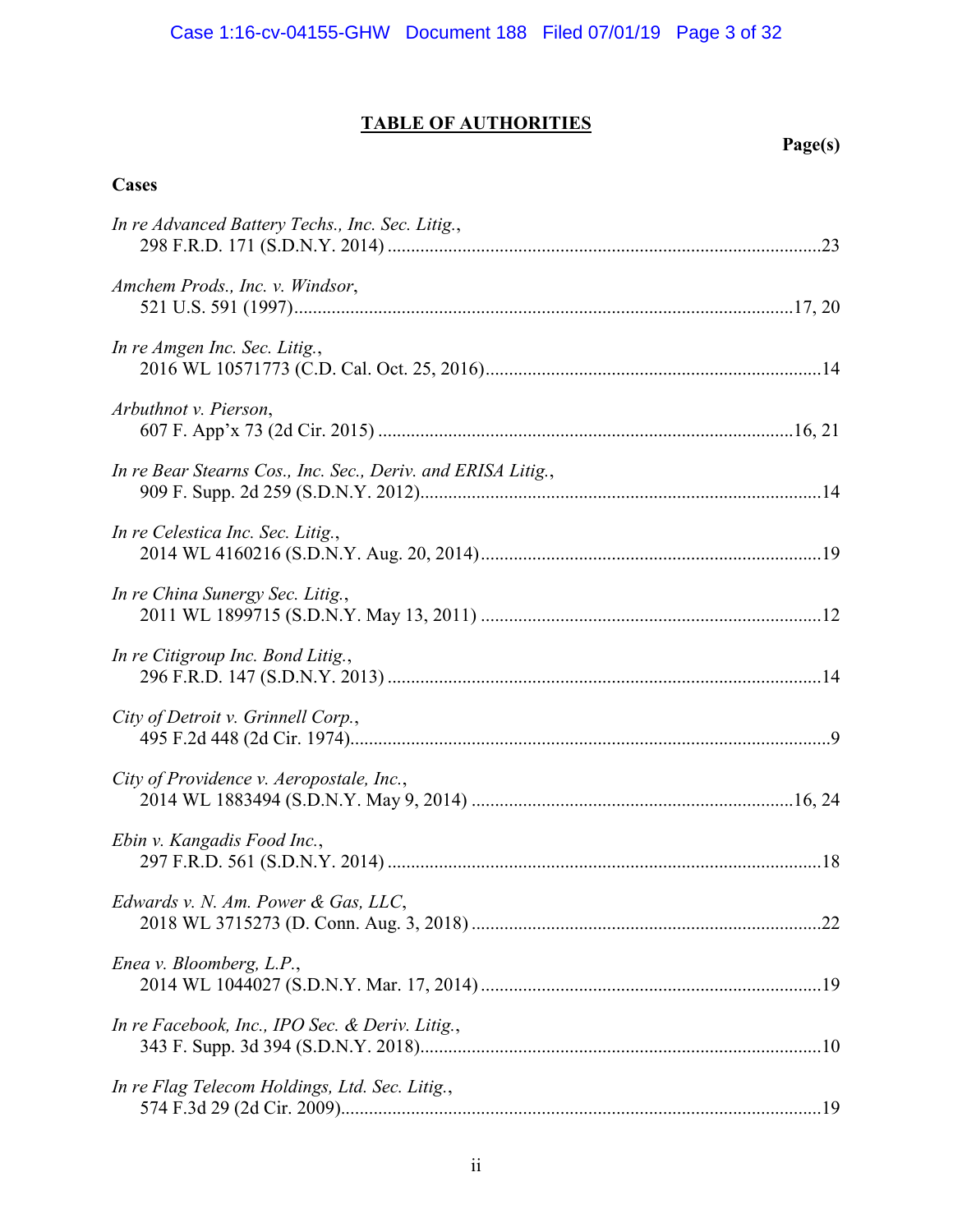# **TABLE OF AUTHORITIES**

# **Page(s)**

# **Cases**

| In re Advanced Battery Techs., Inc. Sec. Litig.,             |
|--------------------------------------------------------------|
| Amchem Prods., Inc. v. Windsor,                              |
| In re Amgen Inc. Sec. Litig.,                                |
| Arbuthnot v. Pierson,                                        |
| In re Bear Stearns Cos., Inc. Sec., Deriv. and ERISA Litig., |
| In re Celestica Inc. Sec. Litig.,                            |
| In re China Sunergy Sec. Litig.,                             |
| In re Citigroup Inc. Bond Litig.,                            |
| City of Detroit v. Grinnell Corp.,                           |
| City of Providence v. Aeropostale, Inc.,                     |
| Ebin v. Kangadis Food Inc.,                                  |
| Edwards v. N. Am. Power & Gas, LLC,                          |
| Enea v. Bloomberg, L.P.,                                     |
| In re Facebook, Inc., IPO Sec. & Deriv. Litig.,              |
| In re Flag Telecom Holdings, Ltd. Sec. Litig.,               |
|                                                              |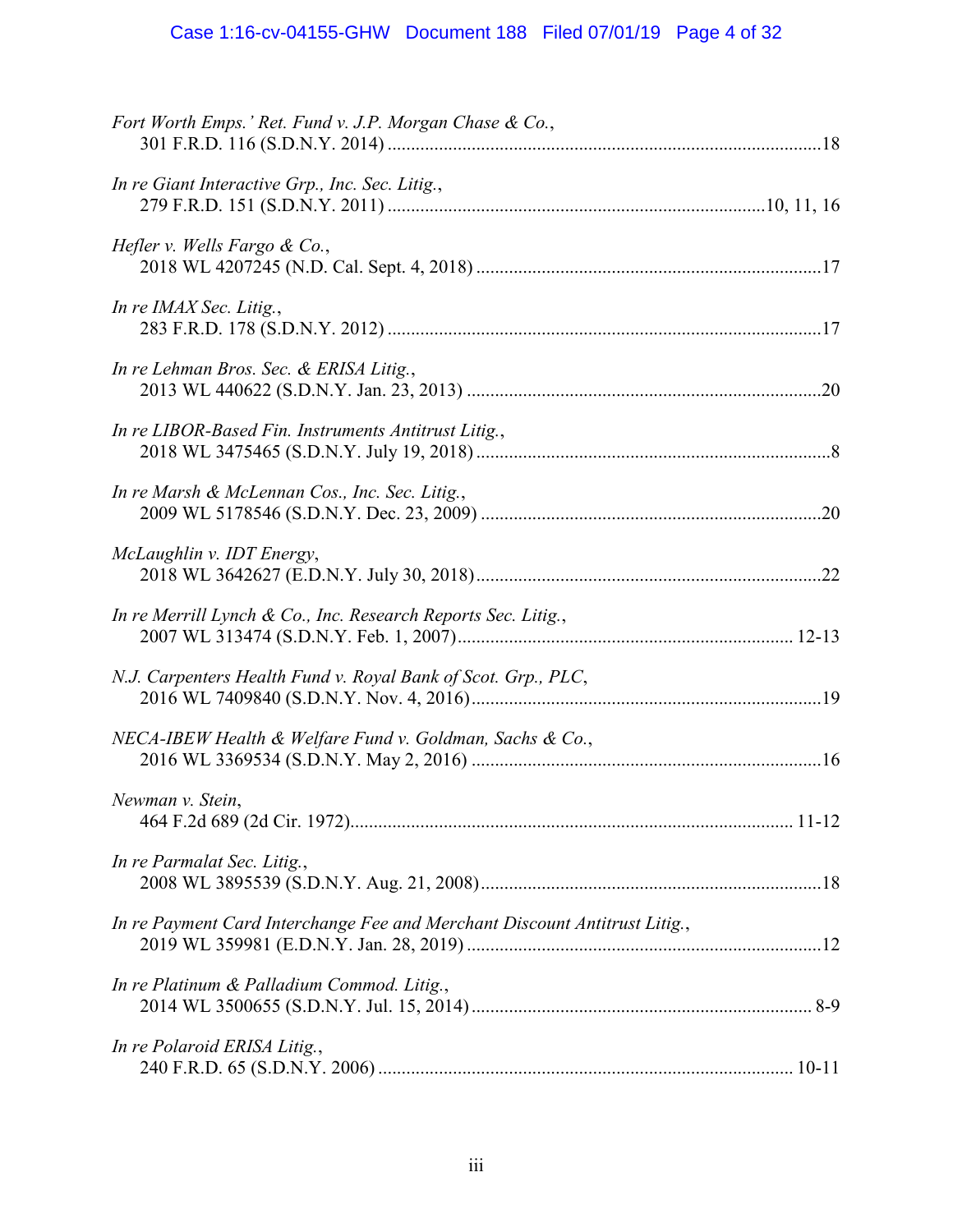# Case 1:16-cv-04155-GHW Document 188 Filed 07/01/19 Page 4 of 32

| Fort Worth Emps.' Ret. Fund v. J.P. Morgan Chase & Co.,                    |  |
|----------------------------------------------------------------------------|--|
| In re Giant Interactive Grp., Inc. Sec. Litig.,                            |  |
| Hefler v. Wells Fargo & Co.,                                               |  |
| In re IMAX Sec. Litig.,                                                    |  |
| In re Lehman Bros. Sec. & ERISA Litig.,                                    |  |
| In re LIBOR-Based Fin. Instruments Antitrust Litig.,                       |  |
| In re Marsh & McLennan Cos., Inc. Sec. Litig.,                             |  |
| McLaughlin v. IDT Energy,                                                  |  |
| In re Merrill Lynch & Co., Inc. Research Reports Sec. Litig.,              |  |
| N.J. Carpenters Health Fund v. Royal Bank of Scot. Grp., PLC,              |  |
| NECA-IBEW Health & Welfare Fund v. Goldman, Sachs & Co.,                   |  |
| Newman v. Stein,                                                           |  |
| In re Parmalat Sec. Litig.,                                                |  |
| In re Payment Card Interchange Fee and Merchant Discount Antitrust Litig., |  |
| In re Platinum & Palladium Commod. Litig.,                                 |  |
| In re Polaroid ERISA Litig.,                                               |  |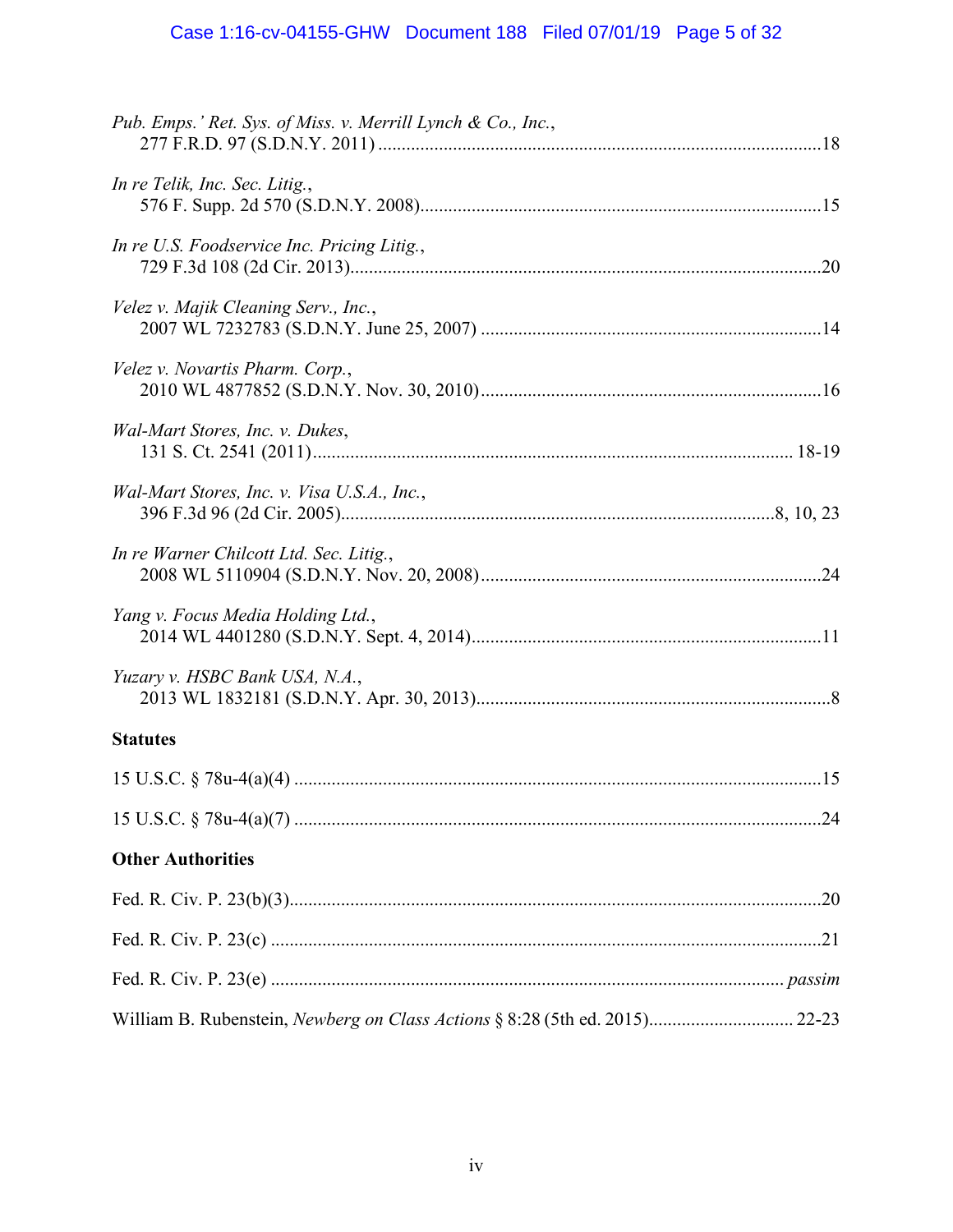# Case 1:16-cv-04155-GHW Document 188 Filed 07/01/19 Page 5 of 32

| Pub. Emps.' Ret. Sys. of Miss. v. Merrill Lynch & Co., Inc.,                |  |
|-----------------------------------------------------------------------------|--|
| In re Telik, Inc. Sec. Litig.,                                              |  |
| In re U.S. Foodservice Inc. Pricing Litig.,                                 |  |
| Velez v. Majik Cleaning Serv., Inc.,                                        |  |
| Velez v. Novartis Pharm. Corp.,                                             |  |
| Wal-Mart Stores, Inc. v. Dukes,                                             |  |
| Wal-Mart Stores, Inc. v. Visa U.S.A., Inc.,                                 |  |
| In re Warner Chilcott Ltd. Sec. Litig.,                                     |  |
| Yang v. Focus Media Holding Ltd.,                                           |  |
| Yuzary v. HSBC Bank USA, N.A.,                                              |  |
| <b>Statutes</b>                                                             |  |
|                                                                             |  |
|                                                                             |  |
| <b>Other Authorities</b>                                                    |  |
|                                                                             |  |
|                                                                             |  |
|                                                                             |  |
| William B. Rubenstein, Newberg on Class Actions § 8:28 (5th ed. 2015) 22-23 |  |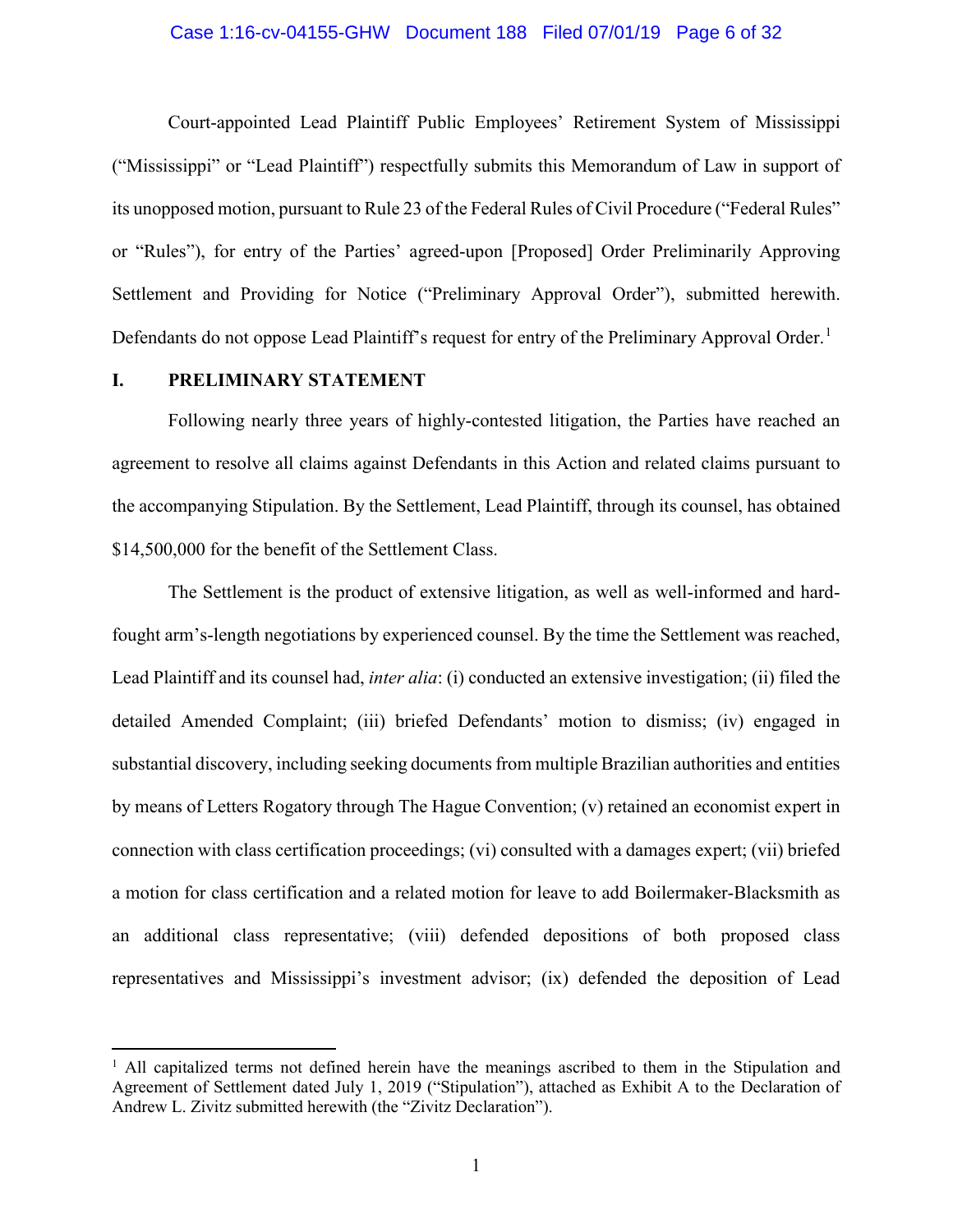#### Case 1:16-cv-04155-GHW Document 188 Filed 07/01/19 Page 6 of 32

Court-appointed Lead Plaintiff Public Employees' Retirement System of Mississippi ("Mississippi" or "Lead Plaintiff") respectfully submits this Memorandum of Law in support of its unopposed motion, pursuant to Rule 23 of the Federal Rules of Civil Procedure ("Federal Rules" or "Rules"), for entry of the Parties' agreed-upon [Proposed] Order Preliminarily Approving Settlement and Providing for Notice ("Preliminary Approval Order"), submitted herewith. Defendants do not oppose Lead Plaintiff's request for entry of the Preliminary Approval Order.<sup>[1](#page-5-0)</sup>

## **I. PRELIMINARY STATEMENT**

Following nearly three years of highly-contested litigation, the Parties have reached an agreement to resolve all claims against Defendants in this Action and related claims pursuant to the accompanying Stipulation. By the Settlement, Lead Plaintiff, through its counsel, has obtained \$14,500,000 for the benefit of the Settlement Class.

The Settlement is the product of extensive litigation, as well as well-informed and hardfought arm's-length negotiations by experienced counsel. By the time the Settlement was reached, Lead Plaintiff and its counsel had, *inter alia*: (i) conducted an extensive investigation; (ii) filed the detailed Amended Complaint; (iii) briefed Defendants' motion to dismiss; (iv) engaged in substantial discovery, including seeking documents from multiple Brazilian authorities and entities by means of Letters Rogatory through The Hague Convention; (v) retained an economist expert in connection with class certification proceedings; (vi) consulted with a damages expert; (vii) briefed a motion for class certification and a related motion for leave to add Boilermaker-Blacksmith as an additional class representative; (viii) defended depositions of both proposed class representatives and Mississippi's investment advisor; (ix) defended the deposition of Lead

<span id="page-5-0"></span><sup>&</sup>lt;sup>1</sup> All capitalized terms not defined herein have the meanings ascribed to them in the Stipulation and Agreement of Settlement dated July 1, 2019 ("Stipulation"), attached as Exhibit A to the Declaration of Andrew L. Zivitz submitted herewith (the "Zivitz Declaration").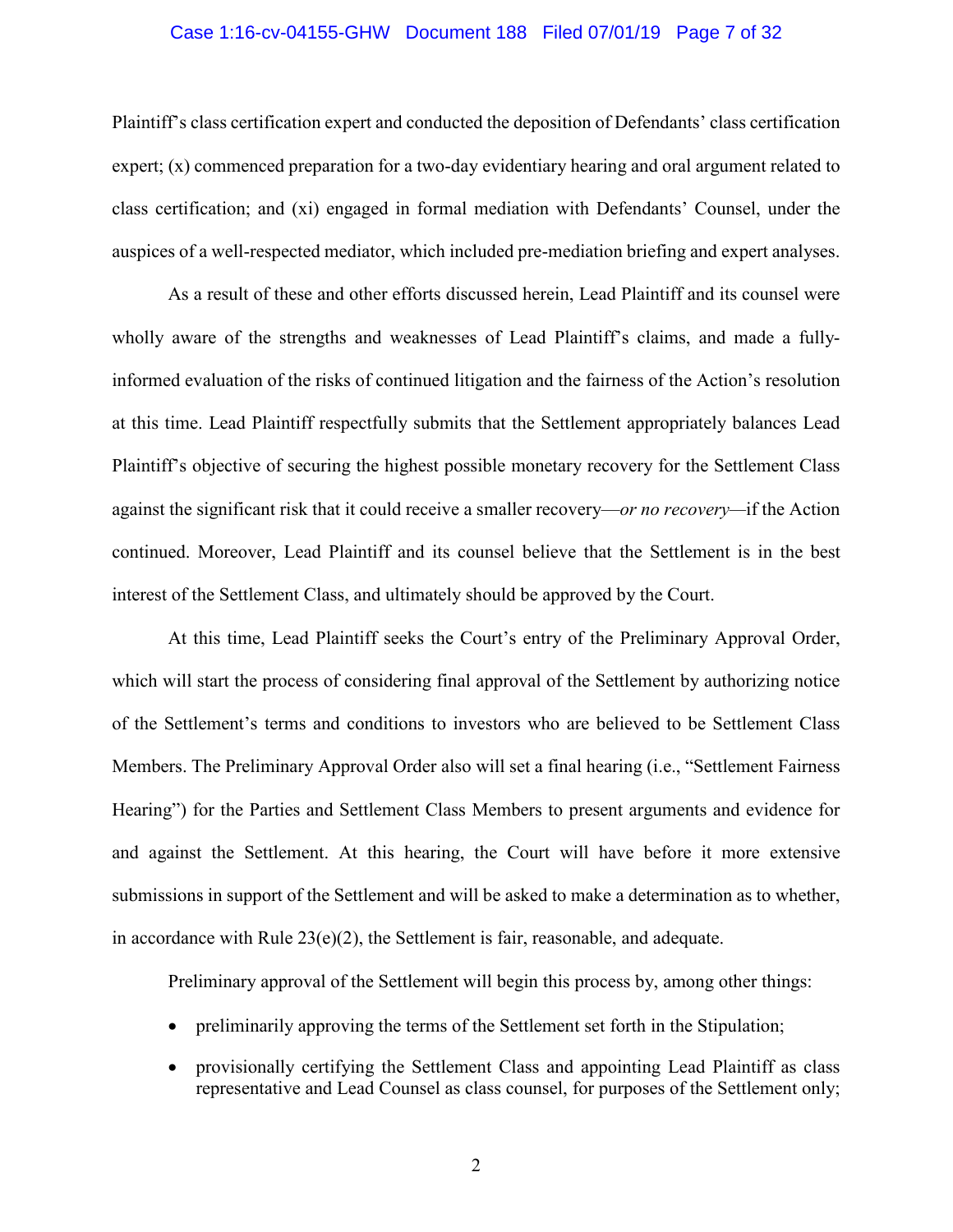#### Case 1:16-cv-04155-GHW Document 188 Filed 07/01/19 Page 7 of 32

Plaintiff's class certification expert and conducted the deposition of Defendants' class certification expert; (x) commenced preparation for a two-day evidentiary hearing and oral argument related to class certification; and (xi) engaged in formal mediation with Defendants' Counsel, under the auspices of a well-respected mediator, which included pre-mediation briefing and expert analyses.

As a result of these and other efforts discussed herein, Lead Plaintiff and its counsel were wholly aware of the strengths and weaknesses of Lead Plaintiff's claims, and made a fullyinformed evaluation of the risks of continued litigation and the fairness of the Action's resolution at this time. Lead Plaintiff respectfully submits that the Settlement appropriately balances Lead Plaintiff's objective of securing the highest possible monetary recovery for the Settlement Class against the significant risk that it could receive a smaller recovery—*or no recovery—*if the Action continued. Moreover, Lead Plaintiff and its counsel believe that the Settlement is in the best interest of the Settlement Class, and ultimately should be approved by the Court.

At this time, Lead Plaintiff seeks the Court's entry of the Preliminary Approval Order, which will start the process of considering final approval of the Settlement by authorizing notice of the Settlement's terms and conditions to investors who are believed to be Settlement Class Members. The Preliminary Approval Order also will set a final hearing (i.e., "Settlement Fairness Hearing") for the Parties and Settlement Class Members to present arguments and evidence for and against the Settlement. At this hearing, the Court will have before it more extensive submissions in support of the Settlement and will be asked to make a determination as to whether, in accordance with Rule  $23(e)(2)$ , the Settlement is fair, reasonable, and adequate.

Preliminary approval of the Settlement will begin this process by, among other things:

- preliminarily approving the terms of the Settlement set forth in the Stipulation;
- provisionally certifying the Settlement Class and appointing Lead Plaintiff as class representative and Lead Counsel as class counsel, for purposes of the Settlement only;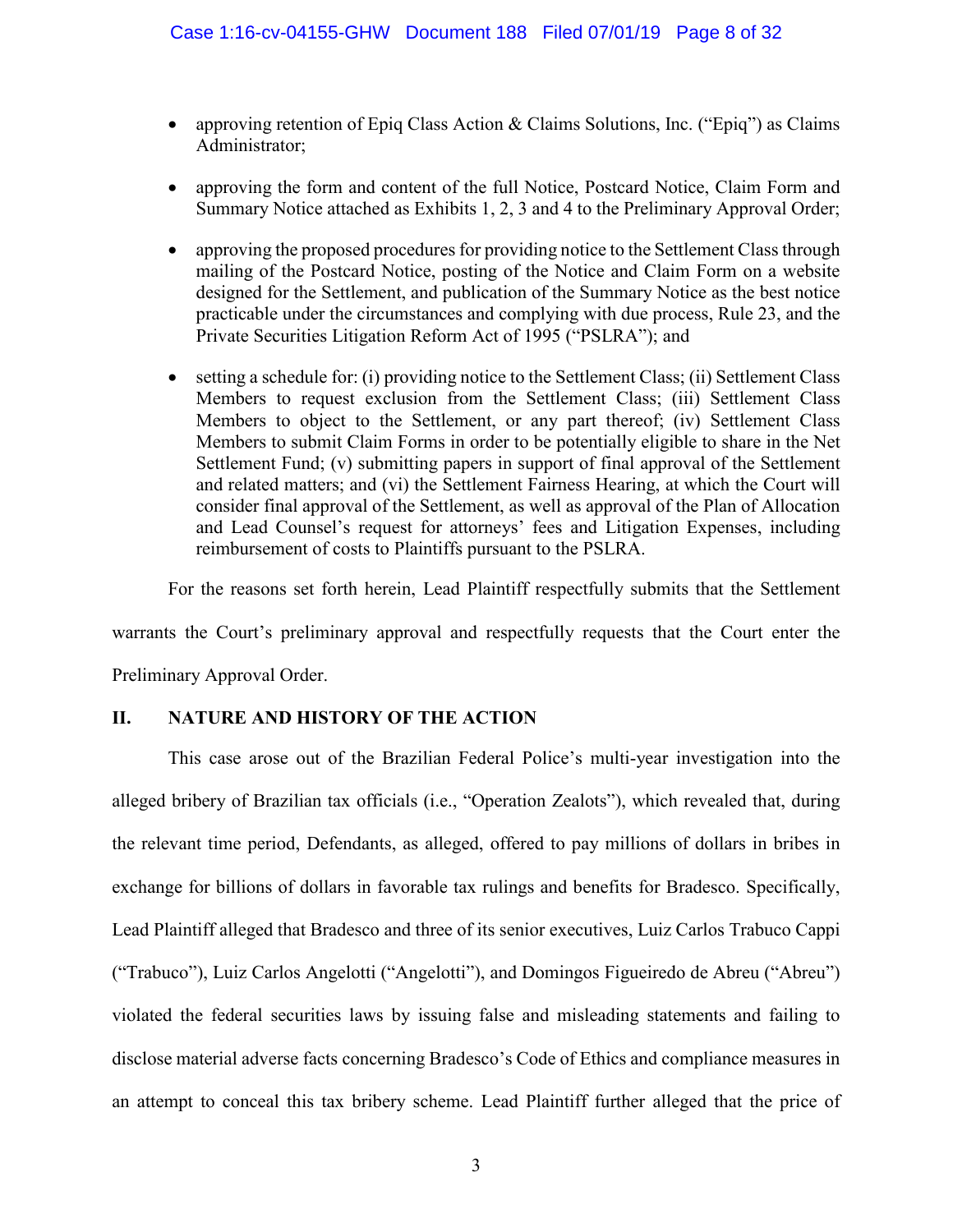- approving retention of Epiq Class Action & Claims Solutions, Inc. ("Epiq") as Claims Administrator;
- approving the form and content of the full Notice, Postcard Notice, Claim Form and Summary Notice attached as Exhibits 1, 2, 3 and 4 to the Preliminary Approval Order;
- approving the proposed procedures for providing notice to the Settlement Class through mailing of the Postcard Notice, posting of the Notice and Claim Form on a website designed for the Settlement, and publication of the Summary Notice as the best notice practicable under the circumstances and complying with due process, Rule 23, and the Private Securities Litigation Reform Act of 1995 ("PSLRA"); and
- setting a schedule for: (i) providing notice to the Settlement Class; (ii) Settlement Class Members to request exclusion from the Settlement Class; (iii) Settlement Class Members to object to the Settlement, or any part thereof; (iv) Settlement Class Members to submit Claim Forms in order to be potentially eligible to share in the Net Settlement Fund; (v) submitting papers in support of final approval of the Settlement and related matters; and (vi) the Settlement Fairness Hearing, at which the Court will consider final approval of the Settlement, as well as approval of the Plan of Allocation and Lead Counsel's request for attorneys' fees and Litigation Expenses, including reimbursement of costs to Plaintiffs pursuant to the PSLRA.

For the reasons set forth herein, Lead Plaintiff respectfully submits that the Settlement

warrants the Court's preliminary approval and respectfully requests that the Court enter the

Preliminary Approval Order.

## **II. NATURE AND HISTORY OF THE ACTION**

This case arose out of the Brazilian Federal Police's multi-year investigation into the alleged bribery of Brazilian tax officials (i.e., "Operation Zealots"), which revealed that, during the relevant time period, Defendants, as alleged, offered to pay millions of dollars in bribes in exchange for billions of dollars in favorable tax rulings and benefits for Bradesco. Specifically, Lead Plaintiff alleged that Bradesco and three of its senior executives, Luiz Carlos Trabuco Cappi ("Trabuco"), Luiz Carlos Angelotti ("Angelotti"), and Domingos Figueiredo de Abreu ("Abreu") violated the federal securities laws by issuing false and misleading statements and failing to disclose material adverse facts concerning Bradesco's Code of Ethics and compliance measures in an attempt to conceal this tax bribery scheme. Lead Plaintiff further alleged that the price of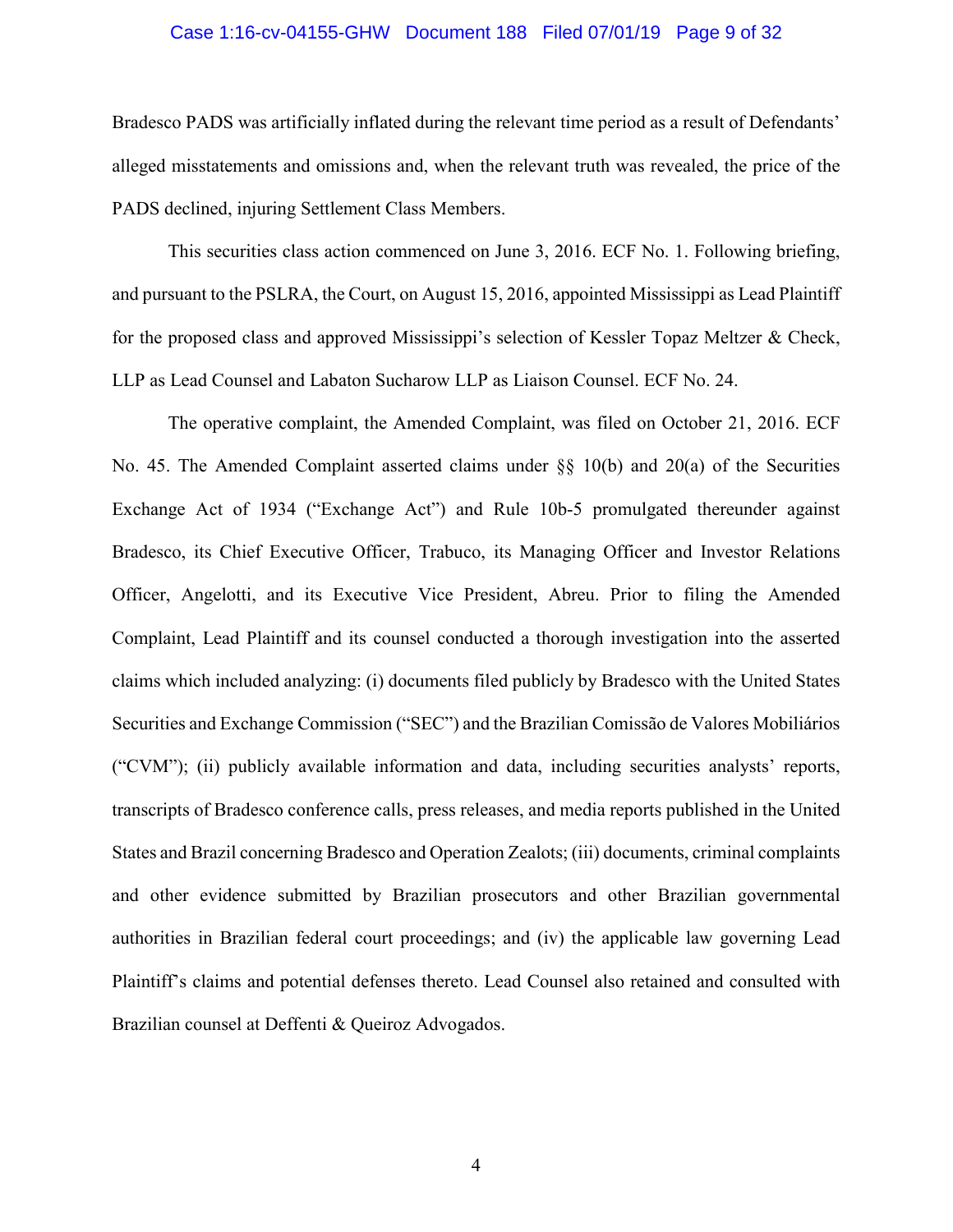#### Case 1:16-cv-04155-GHW Document 188 Filed 07/01/19 Page 9 of 32

Bradesco PADS was artificially inflated during the relevant time period as a result of Defendants' alleged misstatements and omissions and, when the relevant truth was revealed, the price of the PADS declined, injuring Settlement Class Members.

This securities class action commenced on June 3, 2016. ECF No. 1. Following briefing, and pursuant to the PSLRA, the Court, on August 15, 2016, appointed Mississippi as Lead Plaintiff for the proposed class and approved Mississippi's selection of Kessler Topaz Meltzer & Check, LLP as Lead Counsel and Labaton Sucharow LLP as Liaison Counsel. ECF No. 24.

The operative complaint, the Amended Complaint, was filed on October 21, 2016. ECF No. 45. The Amended Complaint asserted claims under §§ 10(b) and 20(a) of the Securities Exchange Act of 1934 ("Exchange Act") and Rule 10b-5 promulgated thereunder against Bradesco, its Chief Executive Officer, Trabuco, its Managing Officer and Investor Relations Officer, Angelotti, and its Executive Vice President, Abreu. Prior to filing the Amended Complaint, Lead Plaintiff and its counsel conducted a thorough investigation into the asserted claims which included analyzing: (i) documents filed publicly by Bradesco with the United States Securities and Exchange Commission ("SEC") and the Brazilian Comissão de Valores Mobiliários ("CVM"); (ii) publicly available information and data, including securities analysts' reports, transcripts of Bradesco conference calls, press releases, and media reports published in the United States and Brazil concerning Bradesco and Operation Zealots; (iii) documents, criminal complaints and other evidence submitted by Brazilian prosecutors and other Brazilian governmental authorities in Brazilian federal court proceedings; and (iv) the applicable law governing Lead Plaintiff's claims and potential defenses thereto. Lead Counsel also retained and consulted with Brazilian counsel at Deffenti & Queiroz Advogados.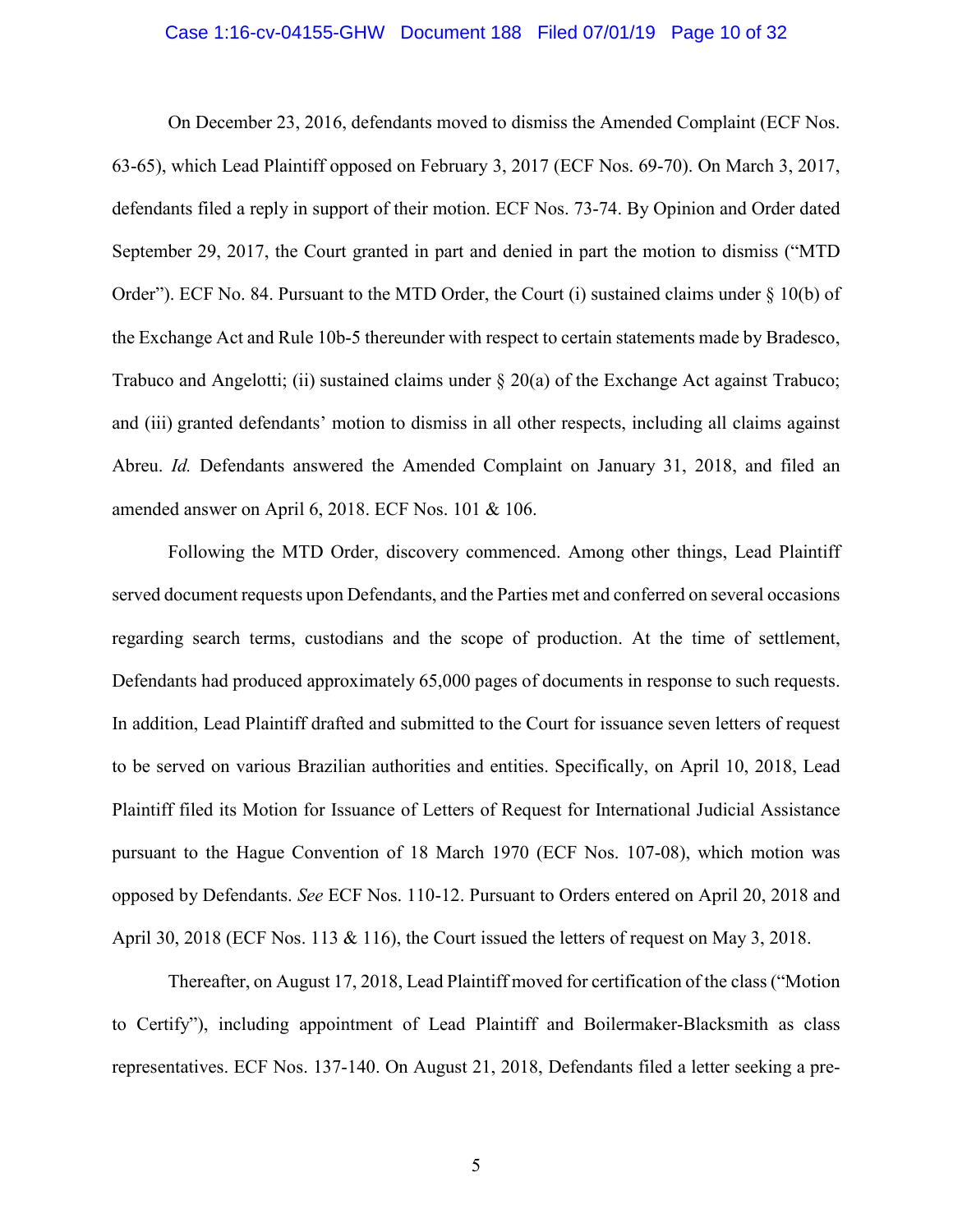#### Case 1:16-cv-04155-GHW Document 188 Filed 07/01/19 Page 10 of 32

On December 23, 2016, defendants moved to dismiss the Amended Complaint (ECF Nos. 63-65), which Lead Plaintiff opposed on February 3, 2017 (ECF Nos. 69-70). On March 3, 2017, defendants filed a reply in support of their motion. ECF Nos. 73-74. By Opinion and Order dated September 29, 2017, the Court granted in part and denied in part the motion to dismiss ("MTD Order"). ECF No. 84. Pursuant to the MTD Order, the Court (i) sustained claims under § 10(b) of the Exchange Act and Rule 10b-5 thereunder with respect to certain statements made by Bradesco, Trabuco and Angelotti; (ii) sustained claims under  $\S 20(a)$  of the Exchange Act against Trabuco; and (iii) granted defendants' motion to dismiss in all other respects, including all claims against Abreu. *Id.* Defendants answered the Amended Complaint on January 31, 2018, and filed an amended answer on April 6, 2018. ECF Nos. 101 & 106.

Following the MTD Order, discovery commenced. Among other things, Lead Plaintiff served document requests upon Defendants, and the Parties met and conferred on several occasions regarding search terms, custodians and the scope of production. At the time of settlement, Defendants had produced approximately 65,000 pages of documents in response to such requests. In addition, Lead Plaintiff drafted and submitted to the Court for issuance seven letters of request to be served on various Brazilian authorities and entities. Specifically, on April 10, 2018, Lead Plaintiff filed its Motion for Issuance of Letters of Request for International Judicial Assistance pursuant to the Hague Convention of 18 March 1970 (ECF Nos. 107-08), which motion was opposed by Defendants. *See* ECF Nos. 110-12. Pursuant to Orders entered on April 20, 2018 and April 30, 2018 (ECF Nos. 113 & 116), the Court issued the letters of request on May 3, 2018.

Thereafter, on August 17, 2018, Lead Plaintiff moved for certification of the class("Motion to Certify"), including appointment of Lead Plaintiff and Boilermaker-Blacksmith as class representatives. ECF Nos. 137-140. On August 21, 2018, Defendants filed a letter seeking a pre-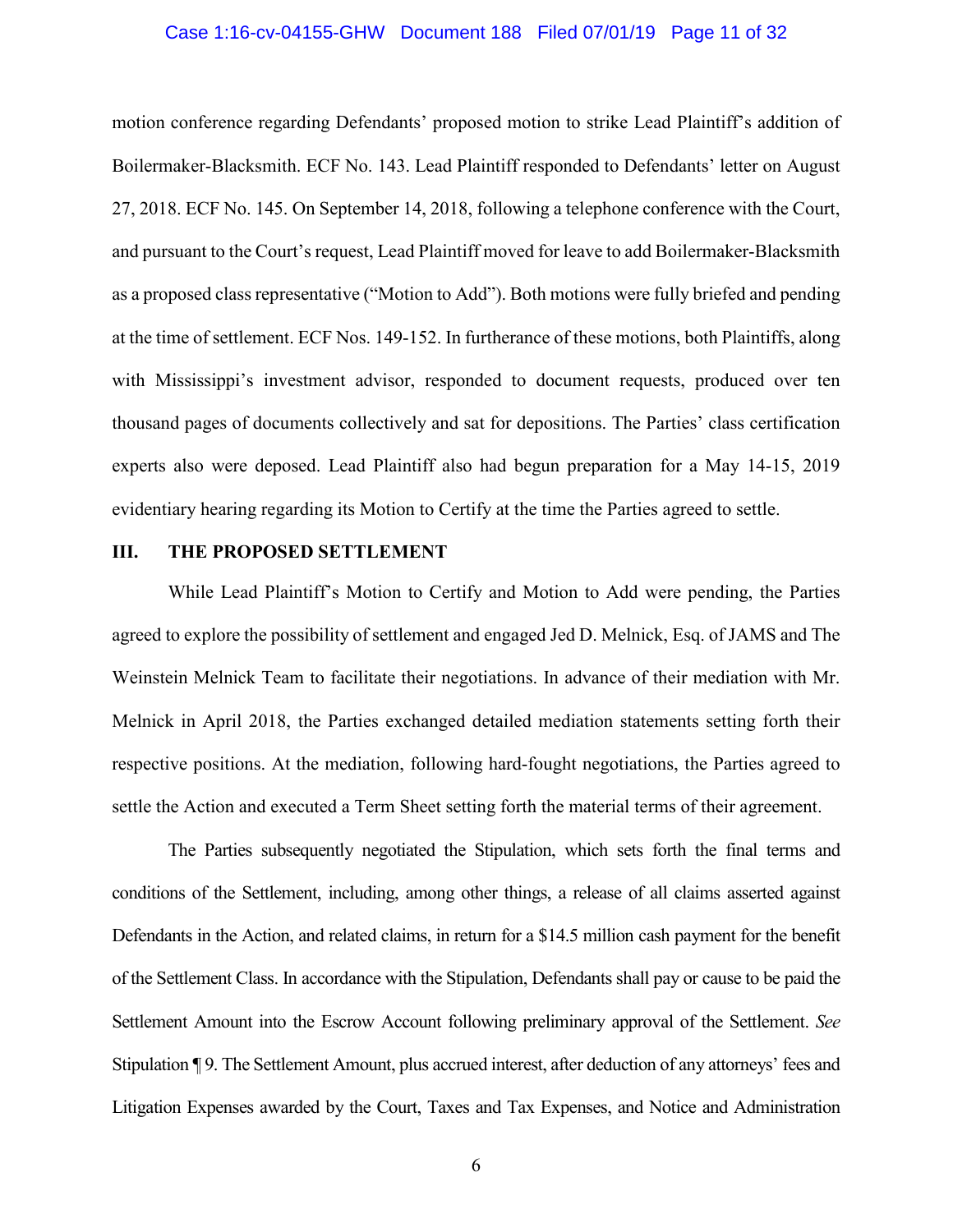#### Case 1:16-cv-04155-GHW Document 188 Filed 07/01/19 Page 11 of 32

motion conference regarding Defendants' proposed motion to strike Lead Plaintiff's addition of Boilermaker-Blacksmith. ECF No. 143. Lead Plaintiff responded to Defendants' letter on August 27, 2018. ECF No. 145. On September 14, 2018, following a telephone conference with the Court, and pursuant to the Court's request, Lead Plaintiff moved for leave to add Boilermaker-Blacksmith as a proposed class representative ("Motion to Add"). Both motions were fully briefed and pending at the time of settlement. ECF Nos. 149-152. In furtherance of these motions, both Plaintiffs, along with Mississippi's investment advisor, responded to document requests, produced over ten thousand pages of documents collectively and sat for depositions. The Parties' class certification experts also were deposed. Lead Plaintiff also had begun preparation for a May 14-15, 2019 evidentiary hearing regarding its Motion to Certify at the time the Parties agreed to settle.

#### **III. THE PROPOSED SETTLEMENT**

While Lead Plaintiff's Motion to Certify and Motion to Add were pending, the Parties agreed to explore the possibility of settlement and engaged Jed D. Melnick, Esq. of JAMS and The Weinstein Melnick Team to facilitate their negotiations. In advance of their mediation with Mr. Melnick in April 2018, the Parties exchanged detailed mediation statements setting forth their respective positions. At the mediation, following hard-fought negotiations, the Parties agreed to settle the Action and executed a Term Sheet setting forth the material terms of their agreement.

The Parties subsequently negotiated the Stipulation, which sets forth the final terms and conditions of the Settlement, including, among other things, a release of all claims asserted against Defendants in the Action, and related claims, in return for a \$14.5 million cash payment for the benefit of the Settlement Class. In accordance with the Stipulation, Defendants shall pay or cause to be paid the Settlement Amount into the Escrow Account following preliminary approval of the Settlement. *See*  Stipulation ¶ 9. The Settlement Amount, plus accrued interest, after deduction of any attorneys' fees and Litigation Expenses awarded by the Court, Taxes and Tax Expenses, and Notice and Administration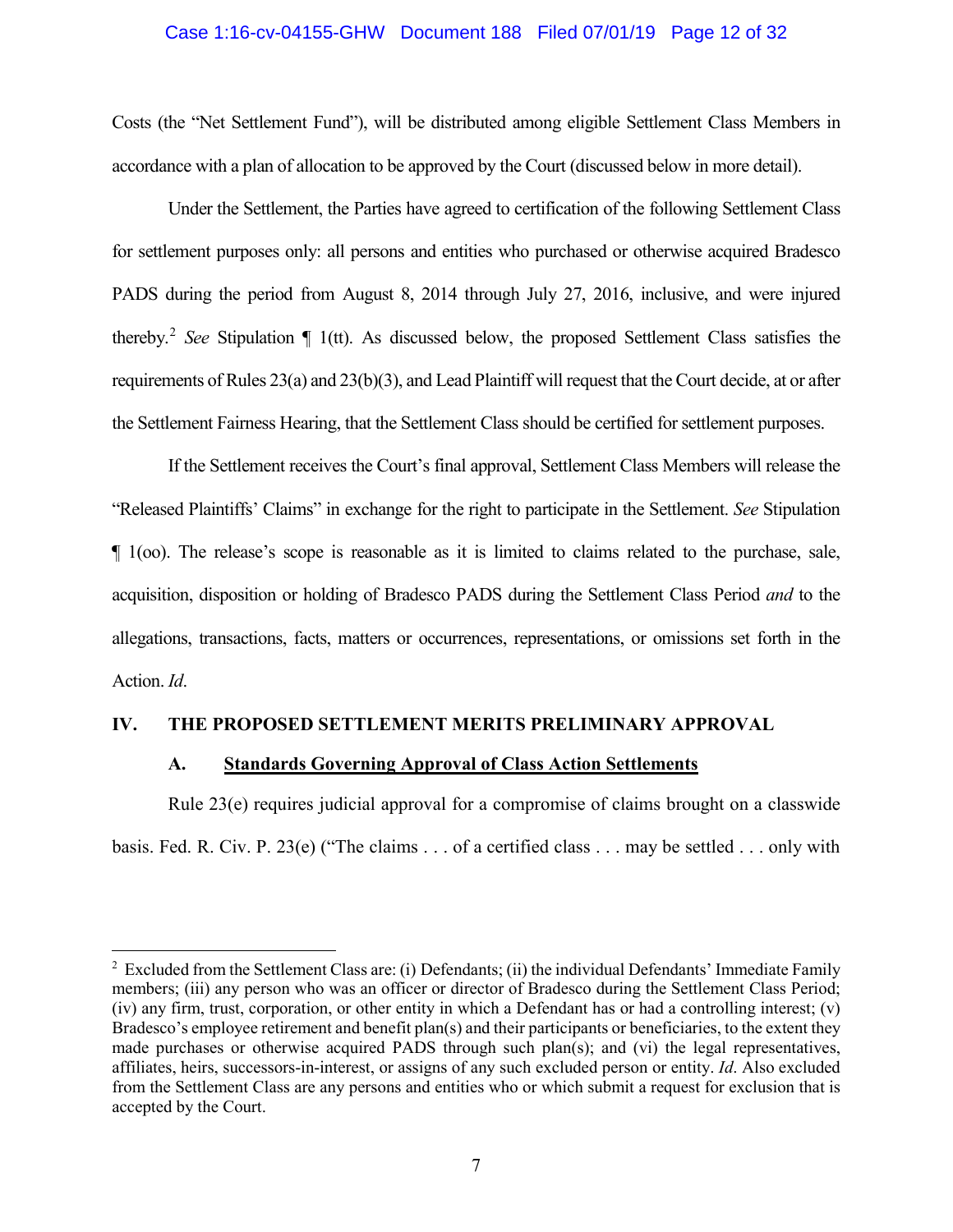#### Case 1:16-cv-04155-GHW Document 188 Filed 07/01/19 Page 12 of 32

Costs (the "Net Settlement Fund"), will be distributed among eligible Settlement Class Members in accordance with a plan of allocation to be approved by the Court (discussed below in more detail).

Under the Settlement, the Parties have agreed to certification of the following Settlement Class for settlement purposes only: all persons and entities who purchased or otherwise acquired Bradesco PADS during the period from August 8, 2014 through July 27, 2016, inclusive, and were injured thereby.[2](#page-11-0) *See* Stipulation ¶ 1(tt). As discussed below, the proposed Settlement Class satisfies the requirements of Rules 23(a) and 23(b)(3), and Lead Plaintiff will request that the Court decide, at or after the Settlement Fairness Hearing, that the Settlement Class should be certified for settlement purposes.

If the Settlement receives the Court's final approval, Settlement Class Members will release the "Released Plaintiffs' Claims" in exchange for the right to participate in the Settlement. *See* Stipulation ¶ 1(oo). The release's scope is reasonable as it is limited to claims related to the purchase, sale, acquisition, disposition or holding of Bradesco PADS during the Settlement Class Period *and* to the allegations, transactions, facts, matters or occurrences, representations, or omissions set forth in the Action. *Id*.

#### **IV. THE PROPOSED SETTLEMENT MERITS PRELIMINARY APPROVAL**

#### **A. Standards Governing Approval of Class Action Settlements**

Rule 23(e) requires judicial approval for a compromise of claims brought on a classwide basis. Fed. R. Civ. P. 23(e) ("The claims . . . of a certified class . . . may be settled . . . only with

<span id="page-11-0"></span> $\frac{1}{2}$ <sup>2</sup> Excluded from the Settlement Class are: (i) Defendants; (ii) the individual Defendants' Immediate Family members; (iii) any person who was an officer or director of Bradesco during the Settlement Class Period; (iv) any firm, trust, corporation, or other entity in which a Defendant has or had a controlling interest; (v) Bradesco's employee retirement and benefit plan(s) and their participants or beneficiaries, to the extent they made purchases or otherwise acquired PADS through such plan(s); and (vi) the legal representatives, affiliates, heirs, successors-in-interest, or assigns of any such excluded person or entity. *Id*. Also excluded from the Settlement Class are any persons and entities who or which submit a request for exclusion that is accepted by the Court.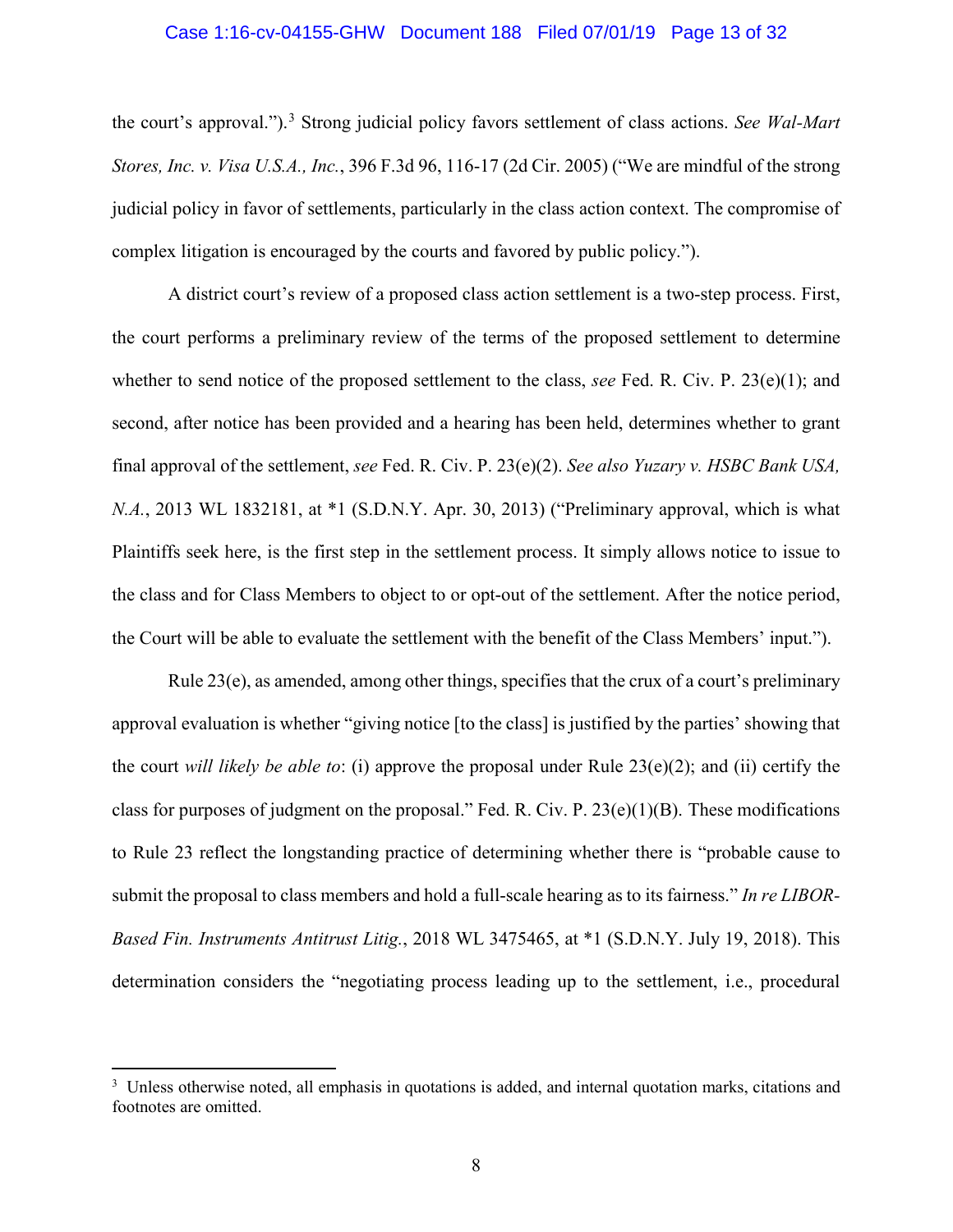#### <span id="page-12-1"></span>Case 1:16-cv-04155-GHW Document 188 Filed 07/01/19 Page 13 of 32

the court's approval."). [3](#page-12-4) Strong judicial policy favors settlement of class actions. *See Wal-Mart Stores, Inc. v. Visa U.S.A., Inc.*, 396 F.3d 96, 116-17 (2d Cir. 2005) ("We are mindful of the strong judicial policy in favor of settlements, particularly in the class action context. The compromise of complex litigation is encouraged by the courts and favored by public policy.").

<span id="page-12-2"></span>A district court's review of a proposed class action settlement is a two-step process. First, the court performs a preliminary review of the terms of the proposed settlement to determine whether to send notice of the proposed settlement to the class, *see* Fed. R. Civ. P. 23(e)(1); and second, after notice has been provided and a hearing has been held, determines whether to grant final approval of the settlement, *see* Fed. R. Civ. P. 23(e)(2). *See also Yuzary v. HSBC Bank USA, N.A.*, 2013 WL 1832181, at \*1 (S.D.N.Y. Apr. 30, 2013) ("Preliminary approval, which is what Plaintiffs seek here, is the first step in the settlement process. It simply allows notice to issue to the class and for Class Members to object to or opt-out of the settlement. After the notice period, the Court will be able to evaluate the settlement with the benefit of the Class Members' input.").

<span id="page-12-3"></span>Rule 23(e), as amended, among other things, specifies that the crux of a court's preliminary approval evaluation is whether "giving notice [to the class] is justified by the parties' showing that the court *will likely be able to*: (i) approve the proposal under Rule 23(e)(2); and (ii) certify the class for purposes of judgment on the proposal." Fed. R. Civ. P. 23(e)(1)(B). These modifications to Rule 23 reflect the longstanding practice of determining whether there is "probable cause to submit the proposal to class members and hold a full-scale hearing as to its fairness." *In re LIBOR-Based Fin. Instruments Antitrust Litig.*, 2018 WL 3475465, at \*1 (S.D.N.Y. July 19, 2018). This determination considers the "negotiating process leading up to the settlement, i.e., procedural

<span id="page-12-4"></span><span id="page-12-0"></span><sup>&</sup>lt;sup>2</sup><br>3 <sup>3</sup> Unless otherwise noted, all emphasis in quotations is added, and internal quotation marks, citations and footnotes are omitted.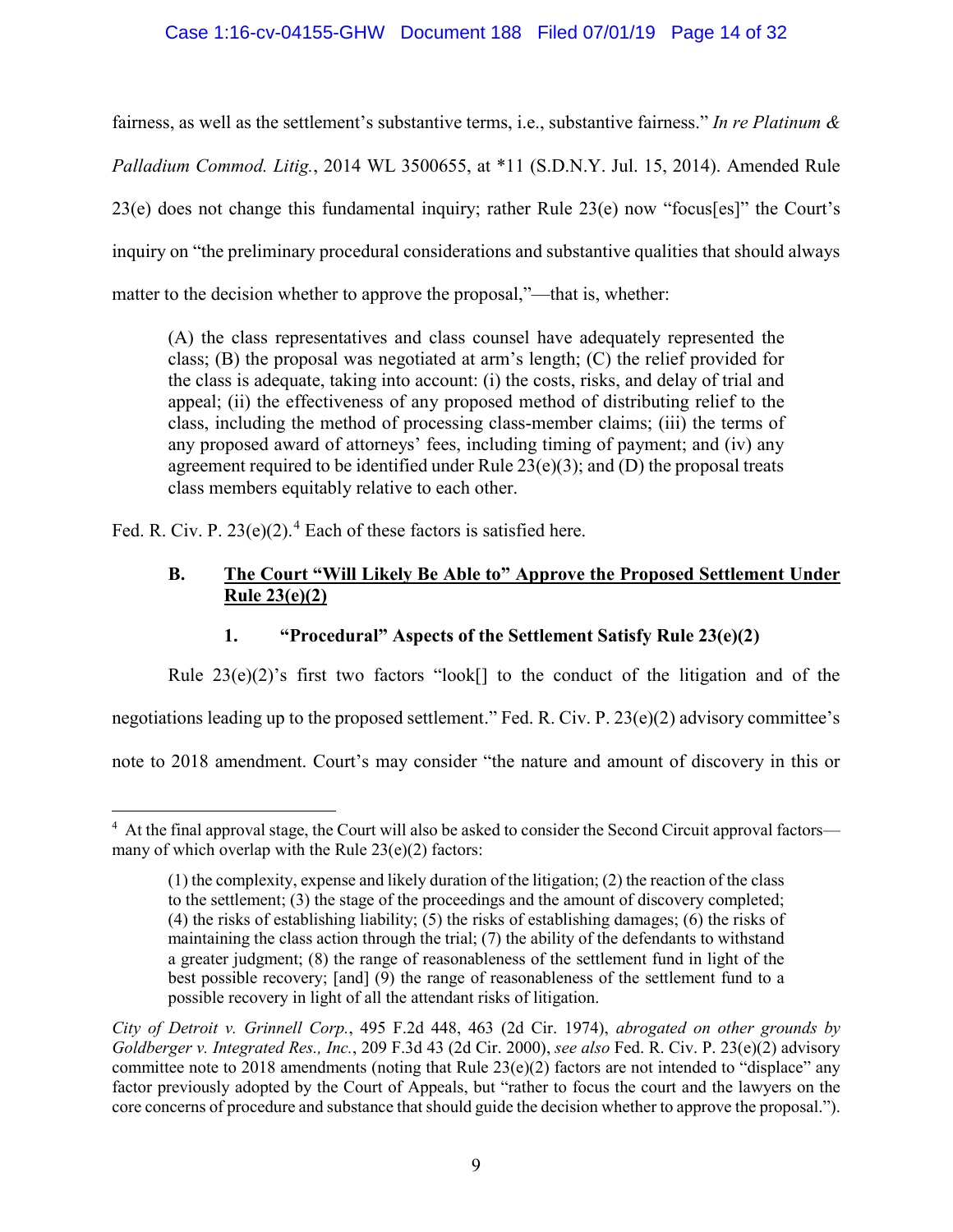## <span id="page-13-1"></span>Case 1:16-cv-04155-GHW Document 188 Filed 07/01/19 Page 14 of 32

fairness, as well as the settlement's substantive terms, i.e., substantive fairness." *In re Platinum & Palladium Commod. Litig.*, 2014 WL 3500655, at \*11 (S.D.N.Y. Jul. 15, 2014). Amended Rule 23(e) does not change this fundamental inquiry; rather Rule 23(e) now "focus[es]" the Court's inquiry on "the preliminary procedural considerations and substantive qualities that should always matter to the decision whether to approve the proposal,"—that is, whether:

(A) the class representatives and class counsel have adequately represented the class; (B) the proposal was negotiated at arm's length; (C) the relief provided for the class is adequate, taking into account: (i) the costs, risks, and delay of trial and appeal; (ii) the effectiveness of any proposed method of distributing relief to the class, including the method of processing class-member claims; (iii) the terms of any proposed award of attorneys' fees, including timing of payment; and (iv) any agreement required to be identified under Rule  $23(e)(3)$ ; and (D) the proposal treats class members equitably relative to each other.

Fed. R. Civ. P.  $23(e)(2)$ .<sup>[4](#page-13-2)</sup> Each of these factors is satisfied here.

## **B. The Court "Will Likely Be Able to" Approve the Proposed Settlement Under Rule 23(e)(2)**

## **1. "Procedural" Aspects of the Settlement Satisfy Rule 23(e)(2)**

Rule  $23(e)(2)$ 's first two factors "look<sup>[]</sup> to the conduct of the litigation and of the

negotiations leading up to the proposed settlement." Fed. R. Civ. P. 23(e)(2) advisory committee's

note to 2018 amendment. Court's may consider "the nature and amount of discovery in this or

<span id="page-13-2"></span> $\frac{1}{4}$ <sup>4</sup> At the final approval stage, the Court will also be asked to consider the Second Circuit approval factors many of which overlap with the Rule  $23(e)(2)$  factors:

<sup>(1)</sup> the complexity, expense and likely duration of the litigation; (2) the reaction of the class to the settlement; (3) the stage of the proceedings and the amount of discovery completed; (4) the risks of establishing liability; (5) the risks of establishing damages; (6) the risks of maintaining the class action through the trial; (7) the ability of the defendants to withstand a greater judgment; (8) the range of reasonableness of the settlement fund in light of the best possible recovery; [and] (9) the range of reasonableness of the settlement fund to a possible recovery in light of all the attendant risks of litigation.

<span id="page-13-0"></span>*City of Detroit v. Grinnell Corp.*, 495 F.2d 448, 463 (2d Cir. 1974), *abrogated on other grounds by Goldberger v. Integrated Res., Inc.*, 209 F.3d 43 (2d Cir. 2000), *see also* Fed. R. Civ. P. 23(e)(2) advisory committee note to 2018 amendments (noting that Rule  $23(e)(2)$  factors are not intended to "displace" any factor previously adopted by the Court of Appeals, but "rather to focus the court and the lawyers on the core concerns of procedure and substance that should guide the decision whether to approve the proposal.").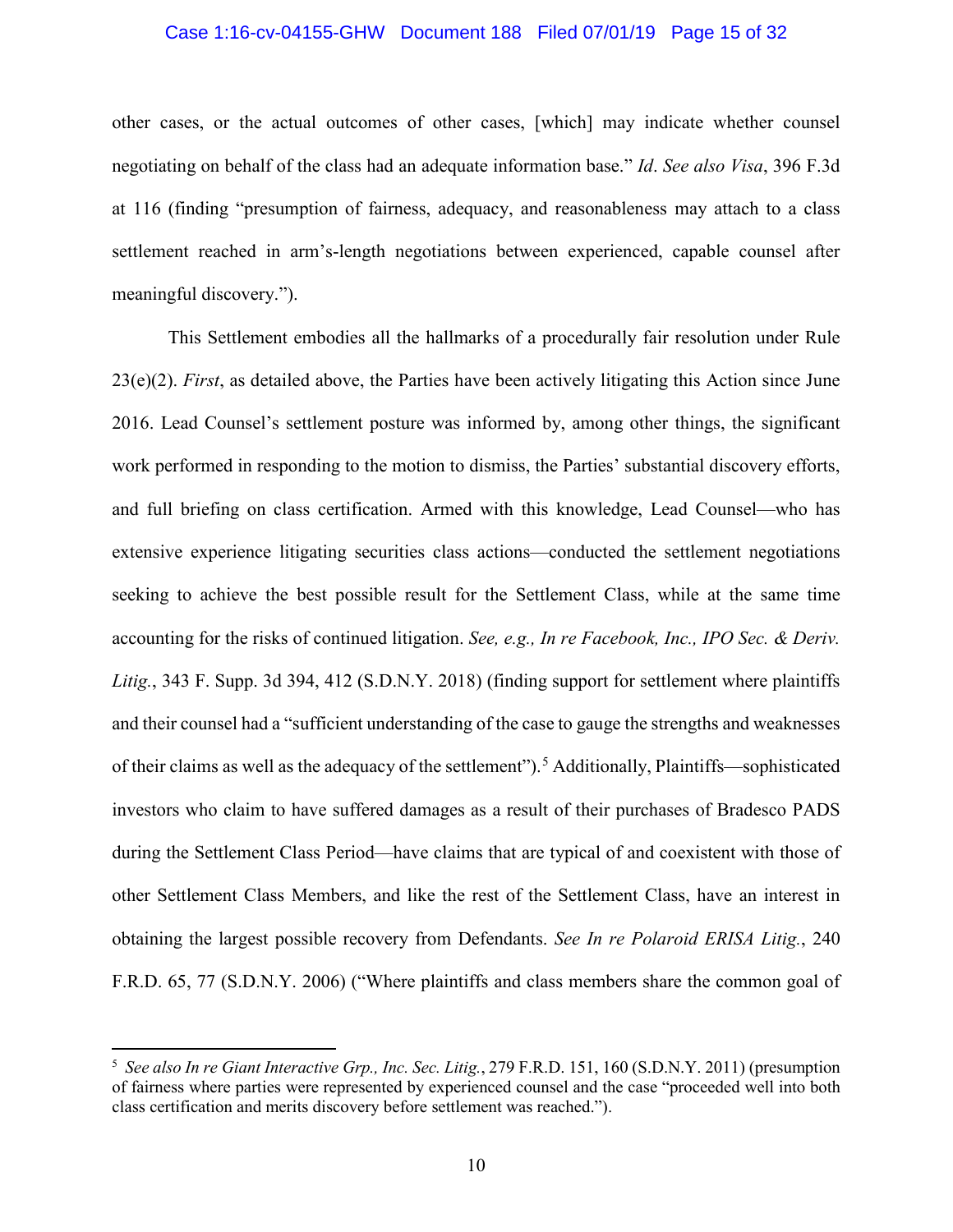#### <span id="page-14-3"></span>Case 1:16-cv-04155-GHW Document 188 Filed 07/01/19 Page 15 of 32

other cases, or the actual outcomes of other cases, [which] may indicate whether counsel negotiating on behalf of the class had an adequate information base." *Id*. *See also Visa*, 396 F.3d at 116 (finding "presumption of fairness, adequacy, and reasonableness may attach to a class settlement reached in arm's-length negotiations between experienced, capable counsel after meaningful discovery.").

<span id="page-14-0"></span>This Settlement embodies all the hallmarks of a procedurally fair resolution under Rule 23(e)(2). *First*, as detailed above, the Parties have been actively litigating this Action since June 2016. Lead Counsel's settlement posture was informed by, among other things, the significant work performed in responding to the motion to dismiss, the Parties' substantial discovery efforts, and full briefing on class certification. Armed with this knowledge, Lead Counsel—who has extensive experience litigating securities class actions—conducted the settlement negotiations seeking to achieve the best possible result for the Settlement Class, while at the same time accounting for the risks of continued litigation. *See, e.g., In re Facebook, Inc., IPO Sec. & Deriv. Litig.*, 343 F. Supp. 3d 394, 412 (S.D.N.Y. 2018) (finding support for settlement where plaintiffs and their counsel had a "sufficient understanding of the case to gauge the strengths and weaknesses of their claims as well as the adequacy of the settlement"). [5](#page-14-4) Additionally, Plaintiffs—sophisticated investors who claim to have suffered damages as a result of their purchases of Bradesco PADS during the Settlement Class Period—have claims that are typical of and coexistent with those of other Settlement Class Members, and like the rest of the Settlement Class, have an interest in obtaining the largest possible recovery from Defendants. *See In re Polaroid ERISA Litig.*, 240 F.R.D. 65, 77 (S.D.N.Y. 2006) ("Where plaintiffs and class members share the common goal of

<span id="page-14-4"></span><span id="page-14-2"></span><span id="page-14-1"></span> <sup>5</sup> *See also In re Giant Interactive Grp., Inc. Sec. Litig.*, 279 F.R.D. 151, 160 (S.D.N.Y. 2011) (presumption of fairness where parties were represented by experienced counsel and the case "proceeded well into both class certification and merits discovery before settlement was reached.").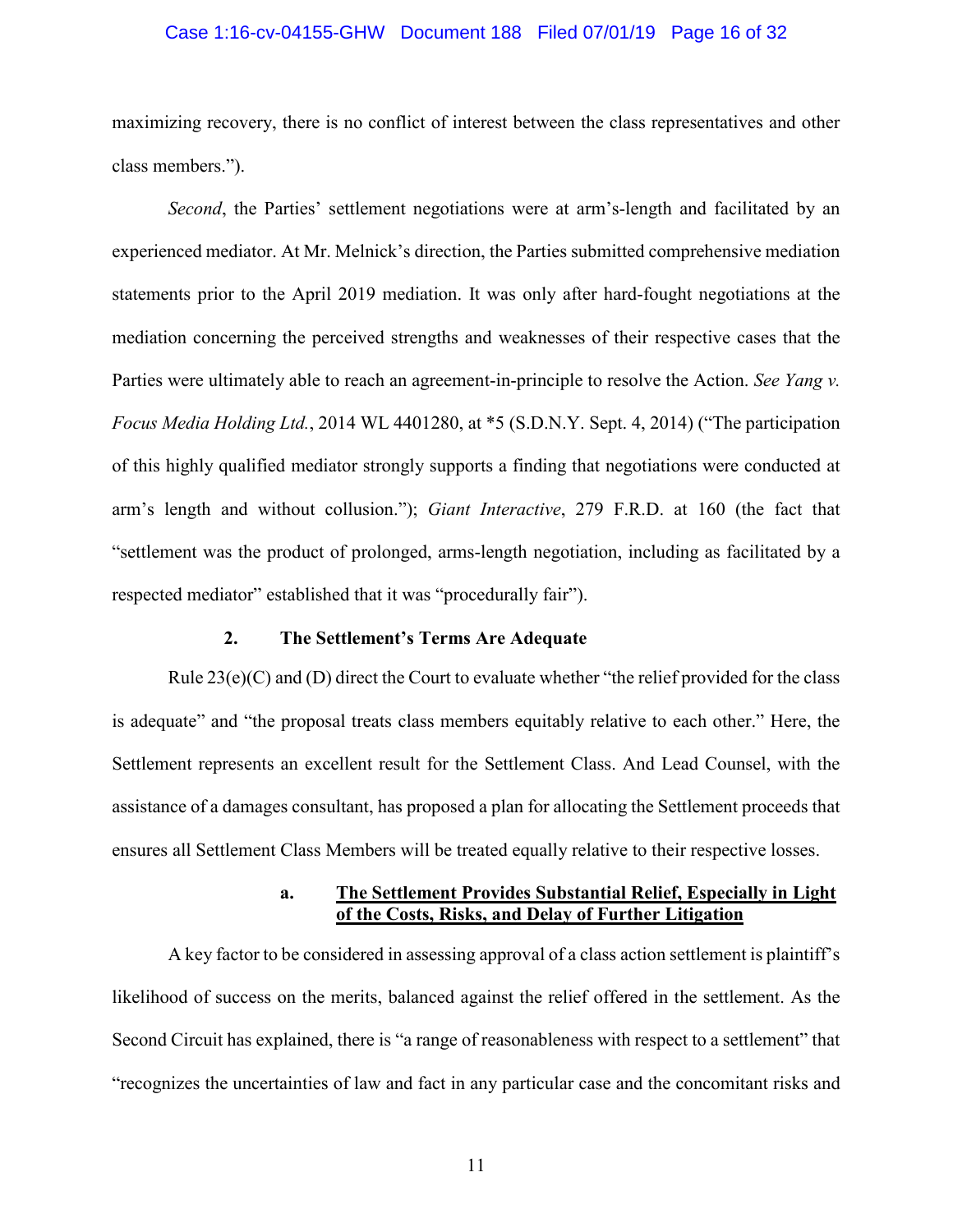#### Case 1:16-cv-04155-GHW Document 188 Filed 07/01/19 Page 16 of 32

maximizing recovery, there is no conflict of interest between the class representatives and other class members.").

*Second*, the Parties' settlement negotiations were at arm's-length and facilitated by an experienced mediator. At Mr. Melnick's direction, the Parties submitted comprehensive mediation statements prior to the April 2019 mediation. It was only after hard-fought negotiations at the mediation concerning the perceived strengths and weaknesses of their respective cases that the Parties were ultimately able to reach an agreement-in-principle to resolve the Action. *See Yang v. Focus Media Holding Ltd.*, 2014 WL 4401280, at \*5 (S.D.N.Y. Sept. 4, 2014) ("The participation of this highly qualified mediator strongly supports a finding that negotiations were conducted at arm's length and without collusion."); *Giant Interactive*, 279 F.R.D. at 160 (the fact that "settlement was the product of prolonged, arms-length negotiation, including as facilitated by a respected mediator" established that it was "procedurally fair").

## <span id="page-15-1"></span><span id="page-15-0"></span>**2. The Settlement's Terms Are Adequate**

Rule  $23(e)(C)$  and (D) direct the Court to evaluate whether "the relief provided for the class is adequate" and "the proposal treats class members equitably relative to each other." Here, the Settlement represents an excellent result for the Settlement Class. And Lead Counsel, with the assistance of a damages consultant, has proposed a plan for allocating the Settlement proceeds that ensures all Settlement Class Members will be treated equally relative to their respective losses.

#### **a. The Settlement Provides Substantial Relief, Especially in Light of the Costs, Risks, and Delay of Further Litigation**

A key factor to be considered in assessing approval of a class action settlement is plaintiff's likelihood of success on the merits, balanced against the relief offered in the settlement. As the Second Circuit has explained, there is "a range of reasonableness with respect to a settlement" that "recognizes the uncertainties of law and fact in any particular case and the concomitant risks and

11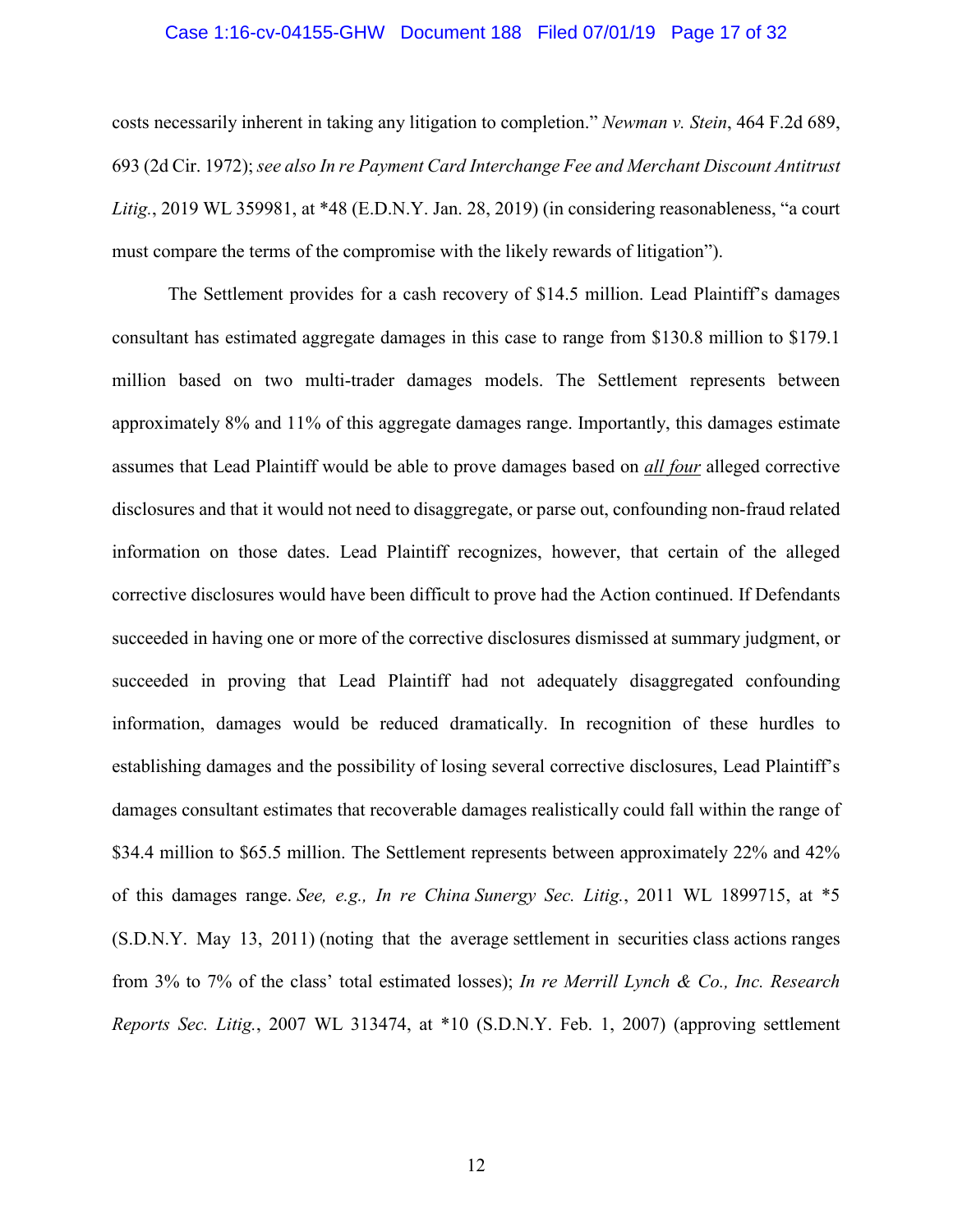#### <span id="page-16-3"></span><span id="page-16-2"></span>Case 1:16-cv-04155-GHW Document 188 Filed 07/01/19 Page 17 of 32

costs necessarily inherent in taking any litigation to completion." *Newman v. Stein*, 464 F.2d 689, 693 (2d Cir. 1972); *see also In re Payment Card Interchange Fee and Merchant Discount Antitrust Litig.*, 2019 WL 359981, at \*48 (E.D.N.Y. Jan. 28, 2019) (in considering reasonableness, "a court must compare the terms of the compromise with the likely rewards of litigation").

<span id="page-16-1"></span><span id="page-16-0"></span>The Settlement provides for a cash recovery of \$14.5 million. Lead Plaintiff's damages consultant has estimated aggregate damages in this case to range from \$130.8 million to \$179.1 million based on two multi-trader damages models. The Settlement represents between approximately 8% and 11% of this aggregate damages range. Importantly, this damages estimate assumes that Lead Plaintiff would be able to prove damages based on *all four* alleged corrective disclosures and that it would not need to disaggregate, or parse out, confounding non-fraud related information on those dates. Lead Plaintiff recognizes, however, that certain of the alleged corrective disclosures would have been difficult to prove had the Action continued. If Defendants succeeded in having one or more of the corrective disclosures dismissed at summary judgment, or succeeded in proving that Lead Plaintiff had not adequately disaggregated confounding information, damages would be reduced dramatically. In recognition of these hurdles to establishing damages and the possibility of losing several corrective disclosures, Lead Plaintiff's damages consultant estimates that recoverable damages realistically could fall within the range of \$34.4 million to \$65.5 million. The Settlement represents between approximately 22% and 42% of this damages range. *See, e.g., In re China Sunergy Sec. Litig.*[, 2011 WL 1899715, at \\*5](https://1.next.westlaw.com/Link/Document/FullText?findType=Y&serNum=2025322986&pubNum=0000999&originatingDoc=Ifba6ce1006d111e1a9e5bdc02ef2b18e&refType=RP&originationContext=document&transitionType=DocumentItem&contextData=(sc.Search))  [\(S.D.N.Y. May 13, 2011\)](https://1.next.westlaw.com/Link/Document/FullText?findType=Y&serNum=2025322986&pubNum=0000999&originatingDoc=Ifba6ce1006d111e1a9e5bdc02ef2b18e&refType=RP&originationContext=document&transitionType=DocumentItem&contextData=(sc.Search)) (noting that the average settlement in securities class actions ranges from 3% to 7% of the class' total estimated losses); *In re Merrill Lynch & Co., Inc. Research Reports Sec. Litig.*, 2007 WL 313474, at \*10 (S.D.N.Y. Feb. 1, 2007) (approving settlement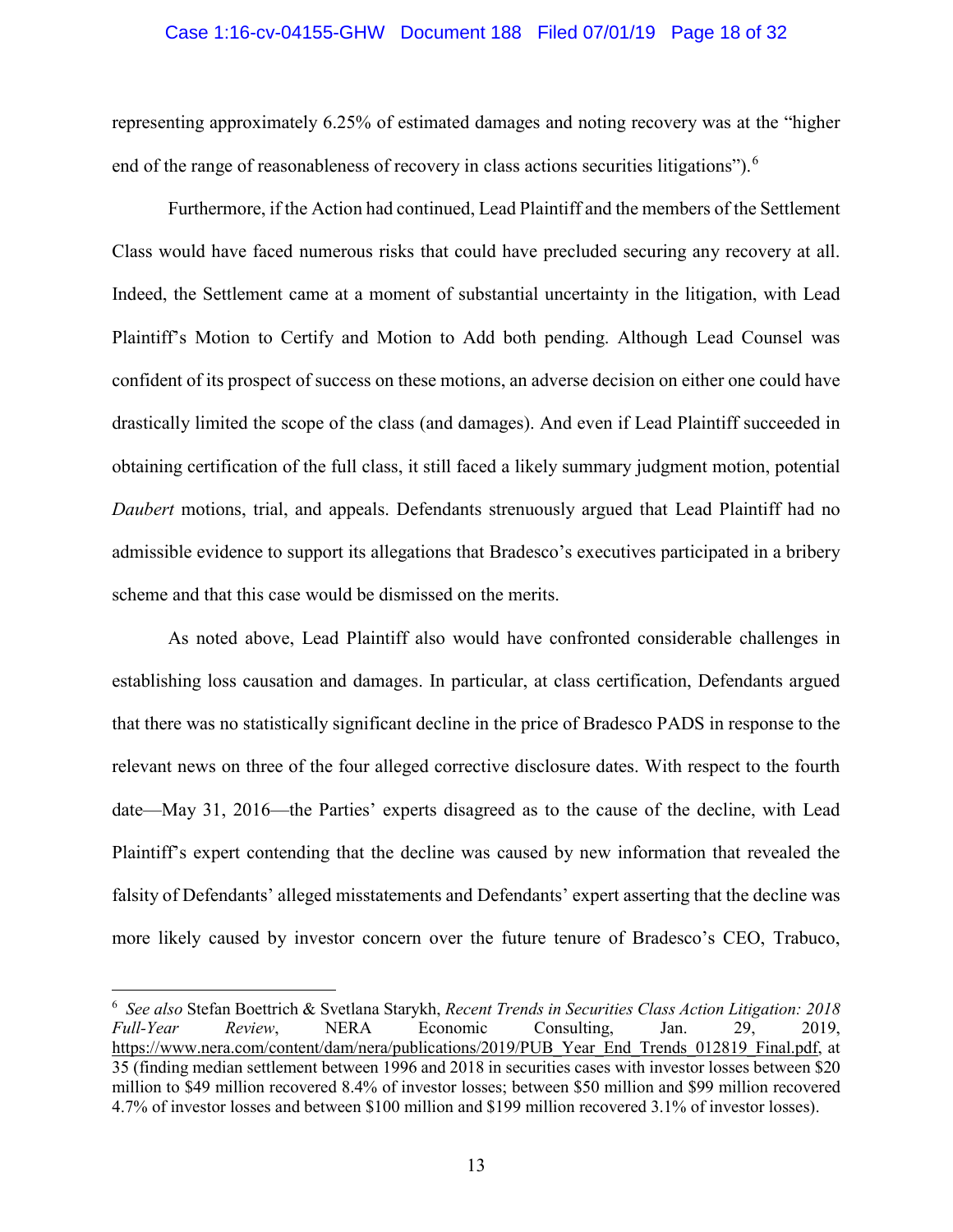#### Case 1:16-cv-04155-GHW Document 188 Filed 07/01/19 Page 18 of 32

representing approximately 6.25% of estimated damages and noting recovery was at the "higher end of the range of reasonableness of recovery in class actions securities litigations").<sup>[6](#page-17-0)</sup>

Furthermore, if the Action had continued, Lead Plaintiff and the members of the Settlement Class would have faced numerous risks that could have precluded securing any recovery at all. Indeed, the Settlement came at a moment of substantial uncertainty in the litigation, with Lead Plaintiff's Motion to Certify and Motion to Add both pending. Although Lead Counsel was confident of its prospect of success on these motions, an adverse decision on either one could have drastically limited the scope of the class (and damages). And even if Lead Plaintiff succeeded in obtaining certification of the full class, it still faced a likely summary judgment motion, potential *Daubert* motions, trial, and appeals. Defendants strenuously argued that Lead Plaintiff had no admissible evidence to support its allegations that Bradesco's executives participated in a bribery scheme and that this case would be dismissed on the merits.

As noted above, Lead Plaintiff also would have confronted considerable challenges in establishing loss causation and damages. In particular, at class certification, Defendants argued that there was no statistically significant decline in the price of Bradesco PADS in response to the relevant news on three of the four alleged corrective disclosure dates. With respect to the fourth date—May 31, 2016—the Parties' experts disagreed as to the cause of the decline, with Lead Plaintiff's expert contending that the decline was caused by new information that revealed the falsity of Defendants' alleged misstatements and Defendants' expert asserting that the decline was more likely caused by investor concern over the future tenure of Bradesco's CEO, Trabuco,

<span id="page-17-0"></span> <sup>6</sup> *See also* Stefan Boettrich & Svetlana Starykh, *Recent Trends in Securities Class Action Litigation: 2018 Full-Year Review*, NERA Economic Consulting, Jan. 29, 2019, https://www.nera.com/content/dam/nera/publications/2019/PUB\_Year\_End\_Trends\_012819\_Final.pdf, at 35 (finding median settlement between 1996 and 2018 in securities cases with investor losses between \$20 million to \$49 million recovered 8.4% of investor losses; between \$50 million and \$99 million recovered 4.7% of investor losses and between \$100 million and \$199 million recovered 3.1% of investor losses).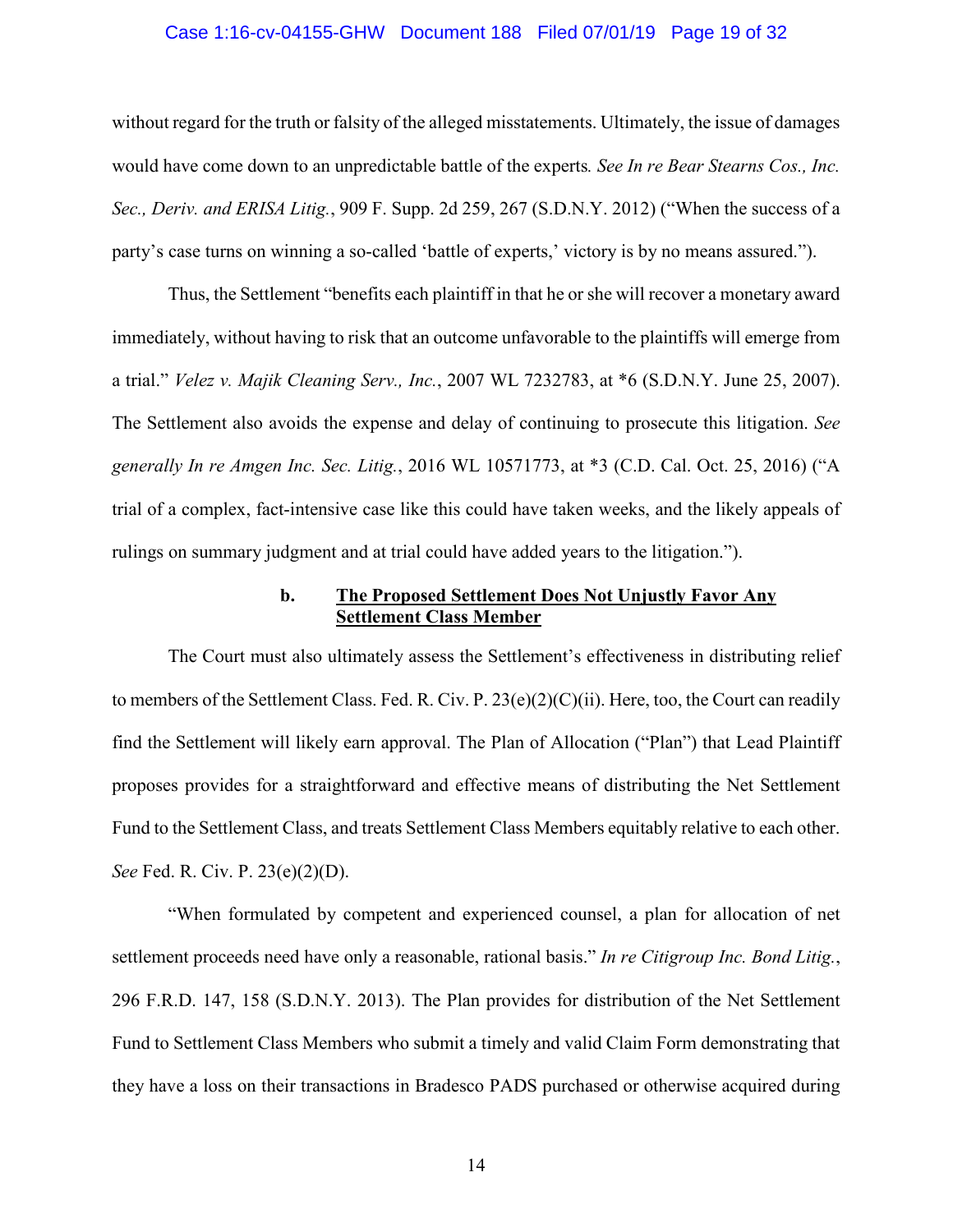#### <span id="page-18-1"></span>Case 1:16-cv-04155-GHW Document 188 Filed 07/01/19 Page 19 of 32

without regard for the truth or falsity of the alleged misstatements. Ultimately, the issue of damages would have come down to an unpredictable battle of the experts*. See In re Bear Stearns Cos., Inc. Sec., Deriv. and ERISA Litig.*, 909 F. Supp. 2d 259, 267 (S.D.N.Y. 2012) ("When the success of a party's case turns on winning a so-called 'battle of experts,' victory is by no means assured.").

<span id="page-18-3"></span>Thus, the Settlement "benefits each plaintiff in that he or she will recover a monetary award immediately, without having to risk that an outcome unfavorable to the plaintiffs will emerge from a trial." *Velez v. Majik Cleaning Serv., Inc.*, 2007 WL 7232783, at \*6 (S.D.N.Y. June 25, 2007). The Settlement also avoids the expense and delay of continuing to prosecute this litigation. *See generally In re Amgen Inc. Sec. Litig.*, 2016 WL 10571773, at \*3 (C.D. Cal. Oct. 25, 2016) ("A trial of a complex, fact-intensive case like this could have taken weeks, and the likely appeals of rulings on summary judgment and at trial could have added years to the litigation.").

### <span id="page-18-2"></span><span id="page-18-0"></span>**b. The Proposed Settlement Does Not Unjustly Favor Any Settlement Class Member**

The Court must also ultimately assess the Settlement's effectiveness in distributing relief to members of the Settlement Class. Fed. R. Civ. P. 23(e)(2)(C)(ii). Here, too, the Court can readily find the Settlement will likely earn approval. The Plan of Allocation ("Plan") that Lead Plaintiff proposes provides for a straightforward and effective means of distributing the Net Settlement Fund to the Settlement Class, and treats Settlement Class Members equitably relative to each other. *See* Fed. R. Civ. P. 23(e)(2)(D).

"When formulated by competent and experienced counsel, a plan for allocation of net settlement proceeds need have only a reasonable, rational basis." *In re Citigroup Inc. Bond Litig.*, 296 F.R.D. 147, 158 (S.D.N.Y. 2013). The Plan provides for distribution of the Net Settlement Fund to Settlement Class Members who submit a timely and valid Claim Form demonstrating that they have a loss on their transactions in Bradesco PADS purchased or otherwise acquired during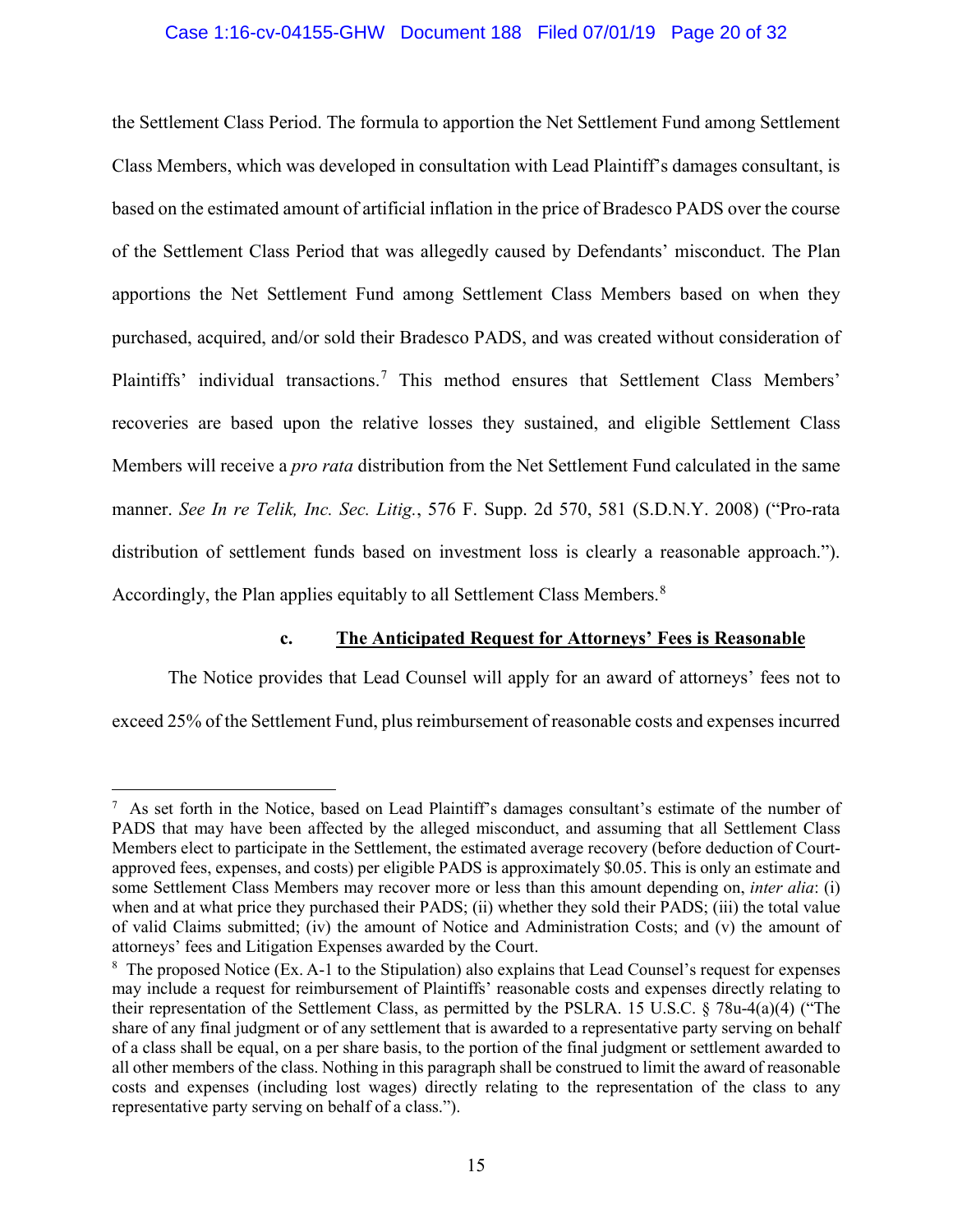### Case 1:16-cv-04155-GHW Document 188 Filed 07/01/19 Page 20 of 32

the Settlement Class Period. The formula to apportion the Net Settlement Fund among Settlement Class Members, which was developed in consultation with Lead Plaintiff's damages consultant, is based on the estimated amount of artificial inflation in the price of Bradesco PADS over the course of the Settlement Class Period that was allegedly caused by Defendants' misconduct. The Plan apportions the Net Settlement Fund among Settlement Class Members based on when they purchased, acquired, and/or sold their Bradesco PADS, and was created without consideration of Plaintiffs' individual transactions.[7](#page-19-2) This method ensures that Settlement Class Members' recoveries are based upon the relative losses they sustained, and eligible Settlement Class Members will receive a *pro rata* distribution from the Net Settlement Fund calculated in the same manner. *See In re Telik, Inc. Sec. Litig.*, 576 F. Supp. 2d 570, 581 (S.D.N.Y. 2008) ("Pro-rata distribution of settlement funds based on investment loss is clearly a reasonable approach."). Accordingly, the Plan applies equitably to all Settlement Class Members.<sup>[8](#page-19-3)</sup>

## <span id="page-19-1"></span><span id="page-19-0"></span>**c. The Anticipated Request for Attorneys' Fees is Reasonable**

The Notice provides that Lead Counsel will apply for an award of attorneys' fees not to exceed 25% of the Settlement Fund, plus reimbursement of reasonable costs and expenses incurred

<span id="page-19-2"></span><sup>-&</sup>lt;br>7 As set forth in the Notice, based on Lead Plaintiff's damages consultant's estimate of the number of PADS that may have been affected by the alleged misconduct, and assuming that all Settlement Class Members elect to participate in the Settlement, the estimated average recovery (before deduction of Courtapproved fees, expenses, and costs) per eligible PADS is approximately \$0.05. This is only an estimate and some Settlement Class Members may recover more or less than this amount depending on, *inter alia*: (i) when and at what price they purchased their PADS; (ii) whether they sold their PADS; (iii) the total value of valid Claims submitted; (iv) the amount of Notice and Administration Costs; and (v) the amount of attorneys' fees and Litigation Expenses awarded by the Court.

<span id="page-19-3"></span><sup>8</sup> The proposed Notice (Ex. A-1 to the Stipulation) also explains that Lead Counsel's request for expenses may include a request for reimbursement of Plaintiffs' reasonable costs and expenses directly relating to their representation of the Settlement Class, as permitted by the PSLRA. 15 U.S.C. § 78u-4(a)(4) ("The share of any final judgment or of any settlement that is awarded to a representative party serving on behalf of a class shall be equal, on a per share basis, to the portion of the final judgment or settlement awarded to all other members of the class. Nothing in this paragraph shall be construed to limit the award of reasonable costs and expenses (including lost wages) directly relating to the representation of the class to any representative party serving on behalf of a class.").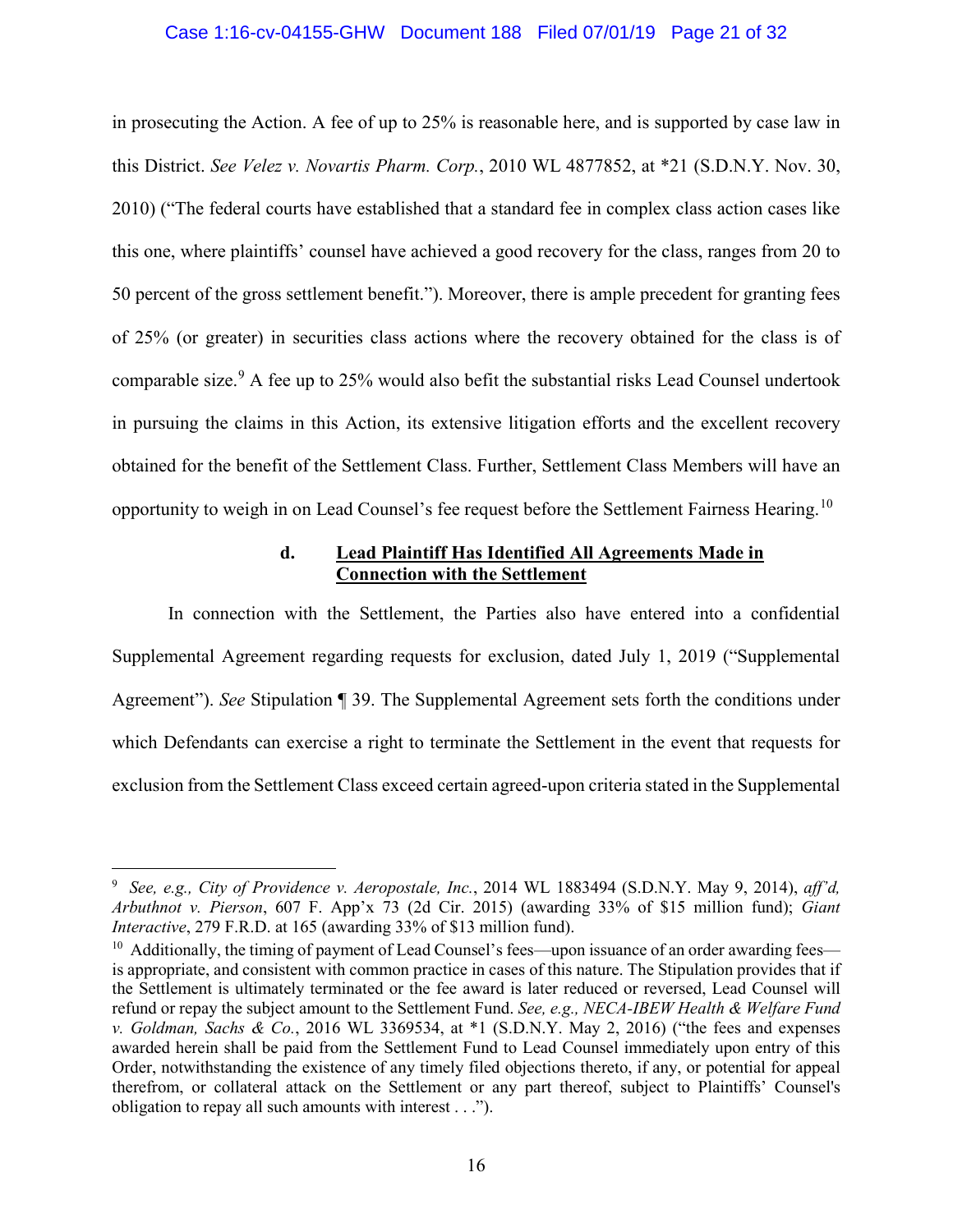#### Case 1:16-cv-04155-GHW Document 188 Filed 07/01/19 Page 21 of 32

<span id="page-20-3"></span>in prosecuting the Action. A fee of up to 25% is reasonable here, and is supported by case law in this District. *See Velez v. Novartis Pharm. Corp.*, 2010 WL 4877852, at \*21 (S.D.N.Y. Nov. 30, 2010) ("The federal courts have established that a standard fee in complex class action cases like this one, where plaintiffs' counsel have achieved a good recovery for the class, ranges from 20 to 50 percent of the gross settlement benefit."). Moreover, there is ample precedent for granting fees of 25% (or greater) in securities class actions where the recovery obtained for the class is of comparable size.<sup>[9](#page-20-4)</sup> A fee up to 25% would also befit the substantial risks Lead Counsel undertook in pursuing the claims in this Action, its extensive litigation efforts and the excellent recovery obtained for the benefit of the Settlement Class. Further, Settlement Class Members will have an opportunity to weigh in on Lead Counsel's fee request before the Settlement Fairness Hearing.[10](#page-20-5)

## <span id="page-20-1"></span>**d. Lead Plaintiff Has Identified All Agreements Made in Connection with the Settlement**

In connection with the Settlement, the Parties also have entered into a confidential Supplemental Agreement regarding requests for exclusion, dated July 1, 2019 ("Supplemental Agreement"). *See* Stipulation ¶ 39. The Supplemental Agreement sets forth the conditions under which Defendants can exercise a right to terminate the Settlement in the event that requests for exclusion from the Settlement Class exceed certain agreed-upon criteria stated in the Supplemental

<span id="page-20-4"></span><span id="page-20-0"></span><sup>-&</sup>lt;br>9 *See, e.g., City of Providence v. Aeropostale, Inc.*, 2014 WL 1883494 (S.D.N.Y. May 9, 2014), *aff'd, Arbuthnot v. Pierson*, 607 F. App'x 73 (2d Cir. 2015) (awarding 33% of \$15 million fund); *Giant Interactive*, 279 F.R.D. at 165 (awarding 33% of \$13 million fund).

<span id="page-20-5"></span><span id="page-20-2"></span><sup>&</sup>lt;sup>10</sup> Additionally, the timing of payment of Lead Counsel's fees—upon issuance of an order awarding fees is appropriate, and consistent with common practice in cases of this nature. The Stipulation provides that if the Settlement is ultimately terminated or the fee award is later reduced or reversed, Lead Counsel will refund or repay the subject amount to the Settlement Fund. *See, e.g., NECA-IBEW Health & Welfare Fund v. Goldman, Sachs & Co.*, 2016 WL 3369534, at \*1 (S.D.N.Y. May 2, 2016) ("the fees and expenses awarded herein shall be paid from the Settlement Fund to Lead Counsel immediately upon entry of this Order, notwithstanding the existence of any timely filed objections thereto, if any, or potential for appeal therefrom, or collateral attack on the Settlement or any part thereof, subject to Plaintiffs' Counsel's obligation to repay all such amounts with interest . . .").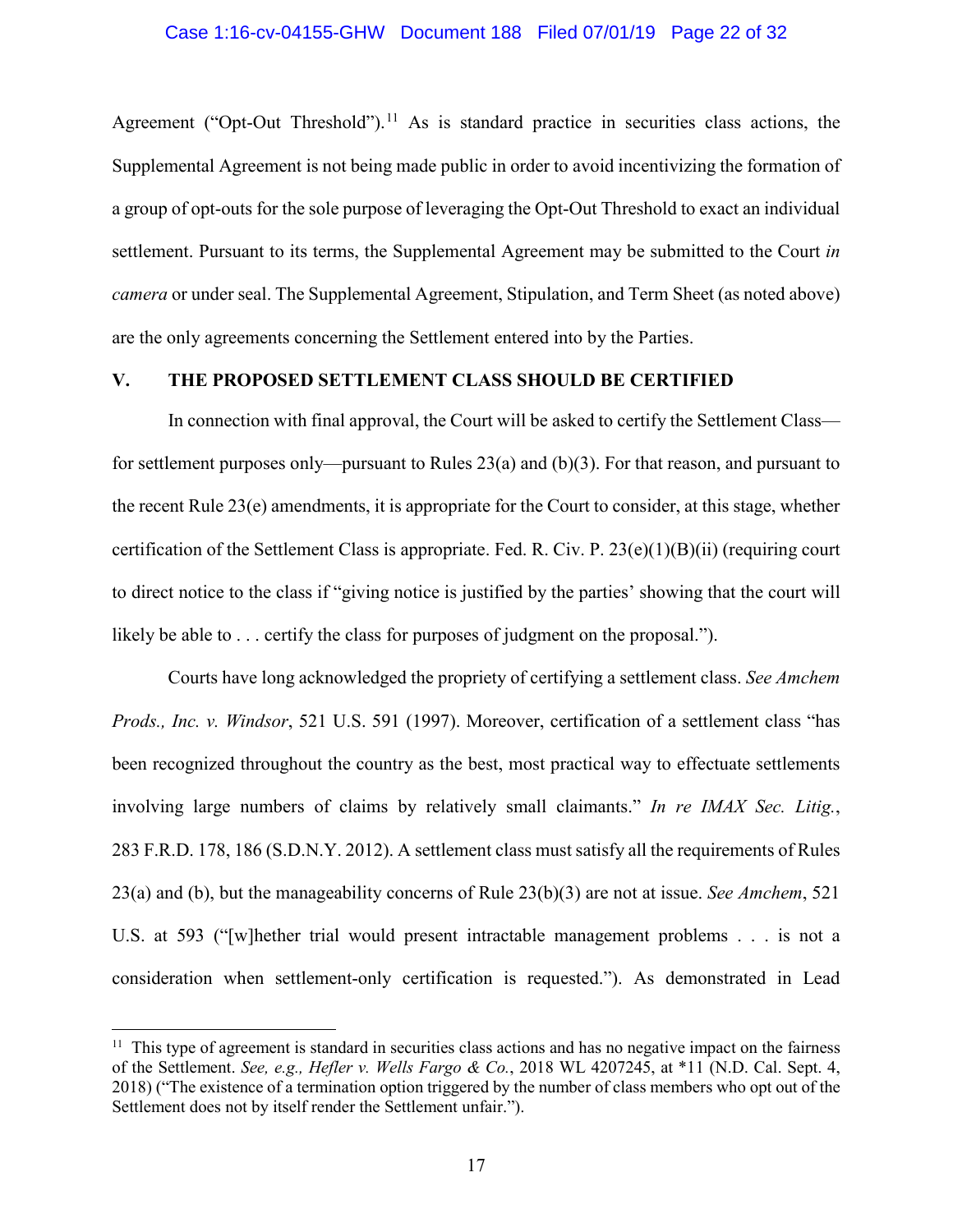Agreement ("Opt-Out Threshold").<sup>[11](#page-21-4)</sup> As is standard practice in securities class actions, the Supplemental Agreement is not being made public in order to avoid incentivizing the formation of a group of opt-outs for the sole purpose of leveraging the Opt-Out Threshold to exact an individual settlement. Pursuant to its terms, the Supplemental Agreement may be submitted to the Court *in camera* or under seal. The Supplemental Agreement, Stipulation, and Term Sheet (as noted above) are the only agreements concerning the Settlement entered into by the Parties.

## **V. THE PROPOSED SETTLEMENT CLASS SHOULD BE CERTIFIED**

<span id="page-21-3"></span>In connection with final approval, the Court will be asked to certify the Settlement Class for settlement purposes only—pursuant to Rules 23(a) and (b)(3). For that reason, and pursuant to the recent Rule 23(e) amendments, it is appropriate for the Court to consider, at this stage, whether certification of the Settlement Class is appropriate. Fed. R. Civ. P. 23(e)(1)(B)(ii) (requiring court to direct notice to the class if "giving notice is justified by the parties' showing that the court will likely be able to . . . certify the class for purposes of judgment on the proposal.").

<span id="page-21-2"></span><span id="page-21-0"></span>Courts have long acknowledged the propriety of certifying a settlement class. *See Amchem Prods., Inc. v. Windsor*, 521 U.S. 591 (1997). Moreover, certification of a settlement class "has been recognized throughout the country as the best, most practical way to effectuate settlements involving large numbers of claims by relatively small claimants." *In re IMAX Sec. Litig.*, 283 F.R.D. 178, 186 (S.D.N.Y. 2012). A settlement class must satisfy all the requirements of Rules 23(a) and (b), but the manageability concerns of Rule 23(b)(3) are not at issue. *See Amchem*, 521 U.S. at 593 ("[w]hether trial would present intractable management problems . . . is not a consideration when settlement-only certification is requested."). As demonstrated in Lead

<span id="page-21-4"></span><span id="page-21-1"></span><sup>&</sup>lt;sup>11</sup> This type of agreement is standard in securities class actions and has no negative impact on the fairness of the Settlement. *See, e.g., Hefler v. Wells Fargo & Co.*, 2018 WL 4207245, at \*11 (N.D. Cal. Sept. 4, 2018) ("The existence of a termination option triggered by the number of class members who opt out of the Settlement does not by itself render the Settlement unfair.").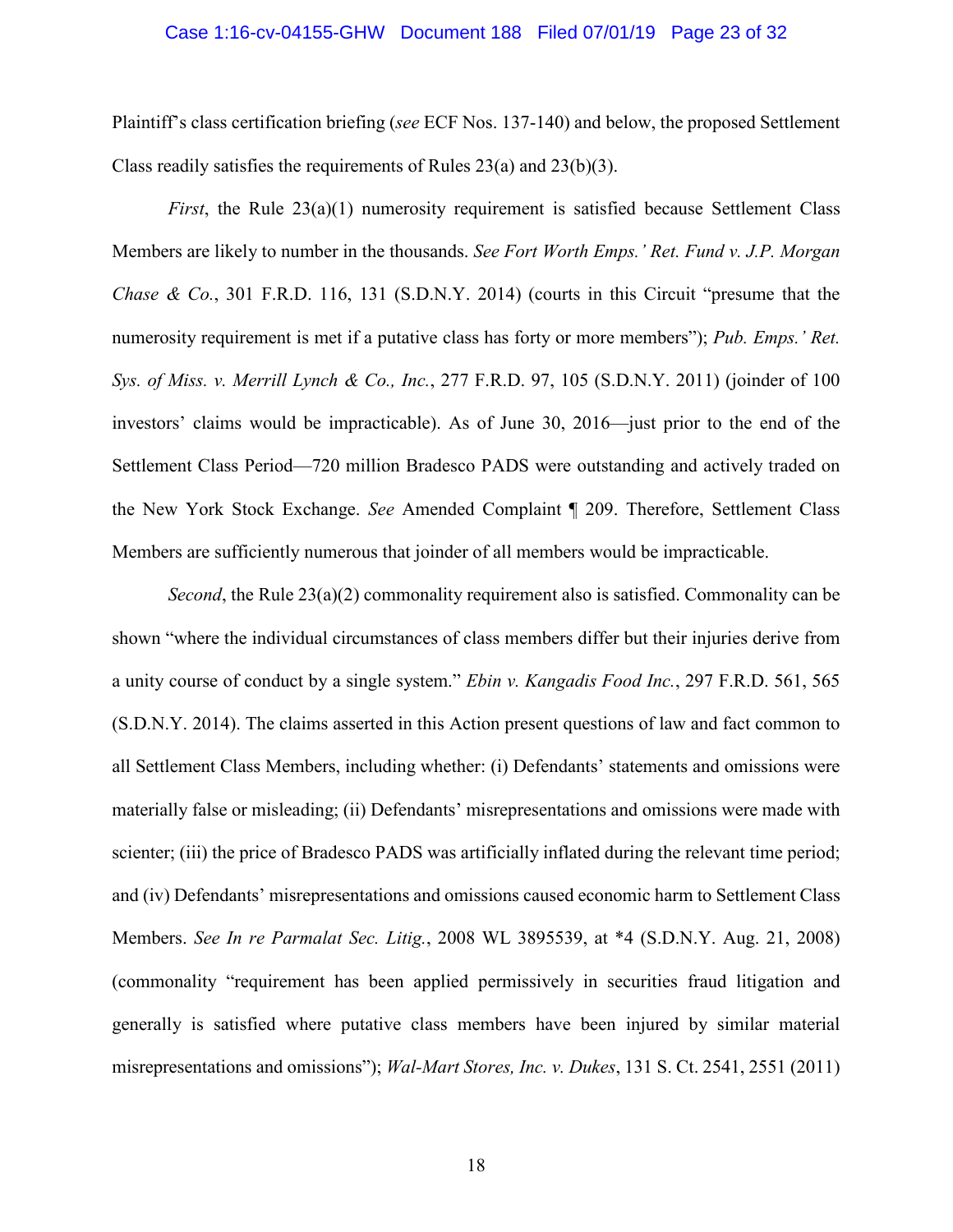#### Case 1:16-cv-04155-GHW Document 188 Filed 07/01/19 Page 23 of 32

Plaintiff's class certification briefing (*see* ECF Nos. 137-140) and below, the proposed Settlement Class readily satisfies the requirements of Rules 23(a) and 23(b)(3).

<span id="page-22-3"></span><span id="page-22-1"></span>*First*, the Rule 23(a)(1) numerosity requirement is satisfied because Settlement Class Members are likely to number in the thousands. *See Fort Worth Emps.' Ret. Fund v. J.P. Morgan Chase & Co.*, 301 F.R.D. 116, 131 (S.D.N.Y. 2014) (courts in this Circuit "presume that the numerosity requirement is met if a putative class has forty or more members"); *Pub. Emps.' Ret. Sys. of Miss. v. Merrill Lynch & Co., Inc.*, 277 F.R.D. 97, 105 (S.D.N.Y. 2011) (joinder of 100 investors' claims would be impracticable). As of June 30, 2016—just prior to the end of the Settlement Class Period—720 million Bradesco PADS were outstanding and actively traded on the New York Stock Exchange. *See* Amended Complaint ¶ 209. Therefore, Settlement Class Members are sufficiently numerous that joinder of all members would be impracticable.

<span id="page-22-4"></span><span id="page-22-2"></span><span id="page-22-0"></span>*Second*, the Rule 23(a)(2) commonality requirement also is satisfied. Commonality can be shown "where the individual circumstances of class members differ but their injuries derive from a unity course of conduct by a single system." *Ebin v. Kangadis Food Inc.*, 297 F.R.D. 561, 565 (S.D.N.Y. 2014). The claims asserted in this Action present questions of law and fact common to all Settlement Class Members, including whether: (i) Defendants' statements and omissions were materially false or misleading; (ii) Defendants' misrepresentations and omissions were made with scienter; (iii) the price of Bradesco PADS was artificially inflated during the relevant time period; and (iv) Defendants' misrepresentations and omissions caused economic harm to Settlement Class Members. *See In re Parmalat Sec. Litig.*, 2008 WL 3895539, at \*4 (S.D.N.Y. Aug. 21, 2008) (commonality "requirement has been applied permissively in securities fraud litigation and generally is satisfied where putative class members have been injured by similar material misrepresentations and omissions"); *Wal-Mart Stores, Inc. v. Dukes*, 131 S. Ct. 2541, 2551 (2011)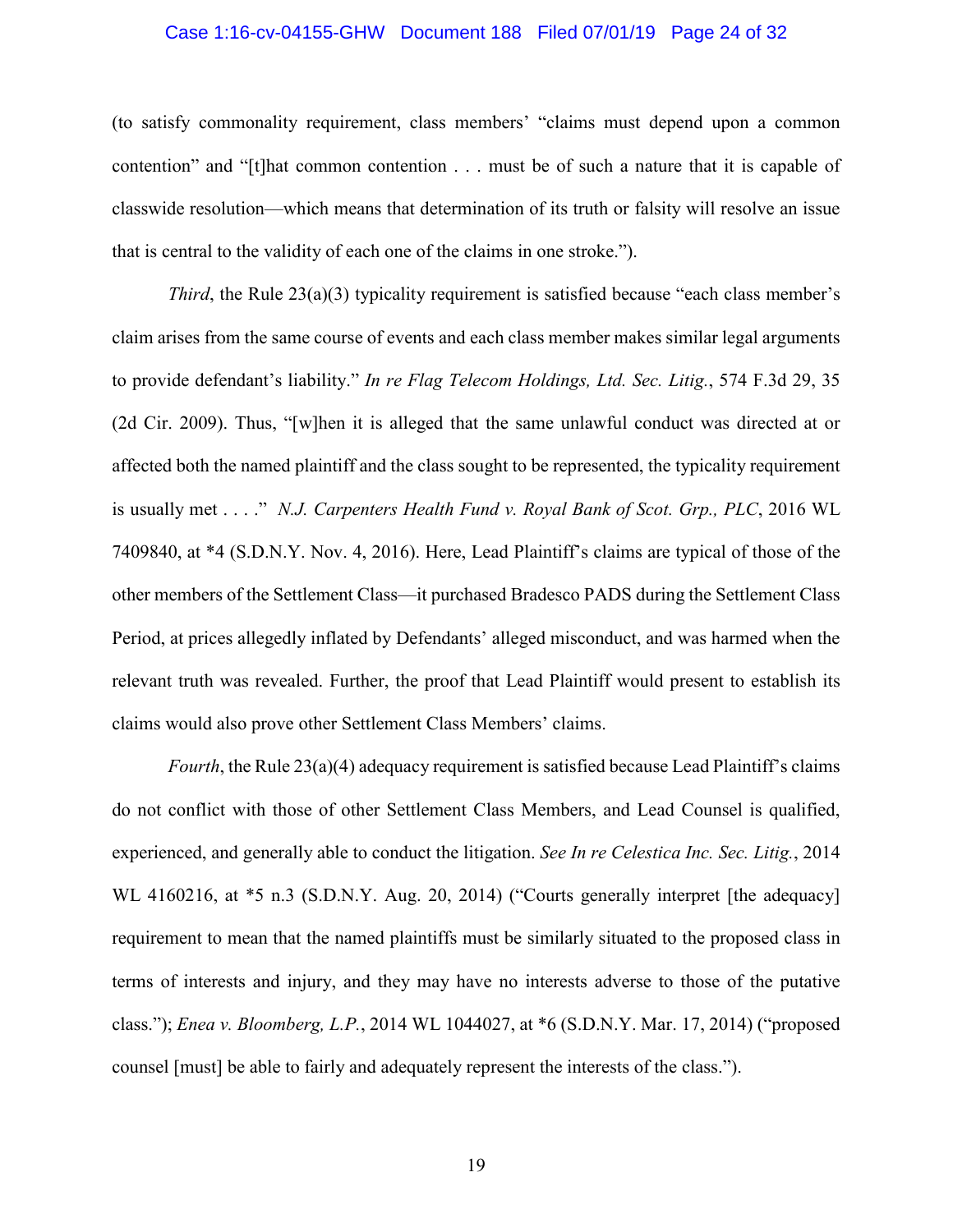#### Case 1:16-cv-04155-GHW Document 188 Filed 07/01/19 Page 24 of 32

(to satisfy commonality requirement, class members' "claims must depend upon a common contention" and "[t]hat common contention . . . must be of such a nature that it is capable of classwide resolution—which means that determination of its truth or falsity will resolve an issue that is central to the validity of each one of the claims in one stroke.").

<span id="page-23-3"></span><span id="page-23-2"></span>*Third*, the Rule 23(a)(3) typicality requirement is satisfied because "each class member's claim arises from the same course of events and each class member makes similar legal arguments to provide defendant's liability." *In re Flag Telecom Holdings, Ltd. Sec. Litig.*, 574 F.3d 29, 35 (2d Cir. 2009). Thus, "[w]hen it is alleged that the same unlawful conduct was directed at or affected both the named plaintiff and the class sought to be represented, the typicality requirement is usually met . . . ." *N.J. Carpenters Health Fund v. Royal Bank of Scot. Grp., PLC*, 2016 WL 7409840, at \*4 (S.D.N.Y. Nov. 4, 2016). Here, Lead Plaintiff's claims are typical of those of the other members of the Settlement Class—it purchased Bradesco PADS during the Settlement Class Period, at prices allegedly inflated by Defendants' alleged misconduct, and was harmed when the relevant truth was revealed. Further, the proof that Lead Plaintiff would present to establish its claims would also prove other Settlement Class Members' claims.

<span id="page-23-1"></span><span id="page-23-0"></span>*Fourth*, the Rule 23(a)(4) adequacy requirement is satisfied because Lead Plaintiff's claims do not conflict with those of other Settlement Class Members, and Lead Counsel is qualified, experienced, and generally able to conduct the litigation. *See In re Celestica Inc. Sec. Litig.*, 2014 WL 4160216, at  $*5$  n.3 (S.D.N.Y. Aug. 20, 2014) ("Courts generally interpret [the adequacy] requirement to mean that the named plaintiffs must be similarly situated to the proposed class in terms of interests and injury, and they may have no interests adverse to those of the putative class."); *Enea v. Bloomberg, L.P.*, 2014 WL 1044027, at \*6 (S.D.N.Y. Mar. 17, 2014) ("proposed counsel [must] be able to fairly and adequately represent the interests of the class.").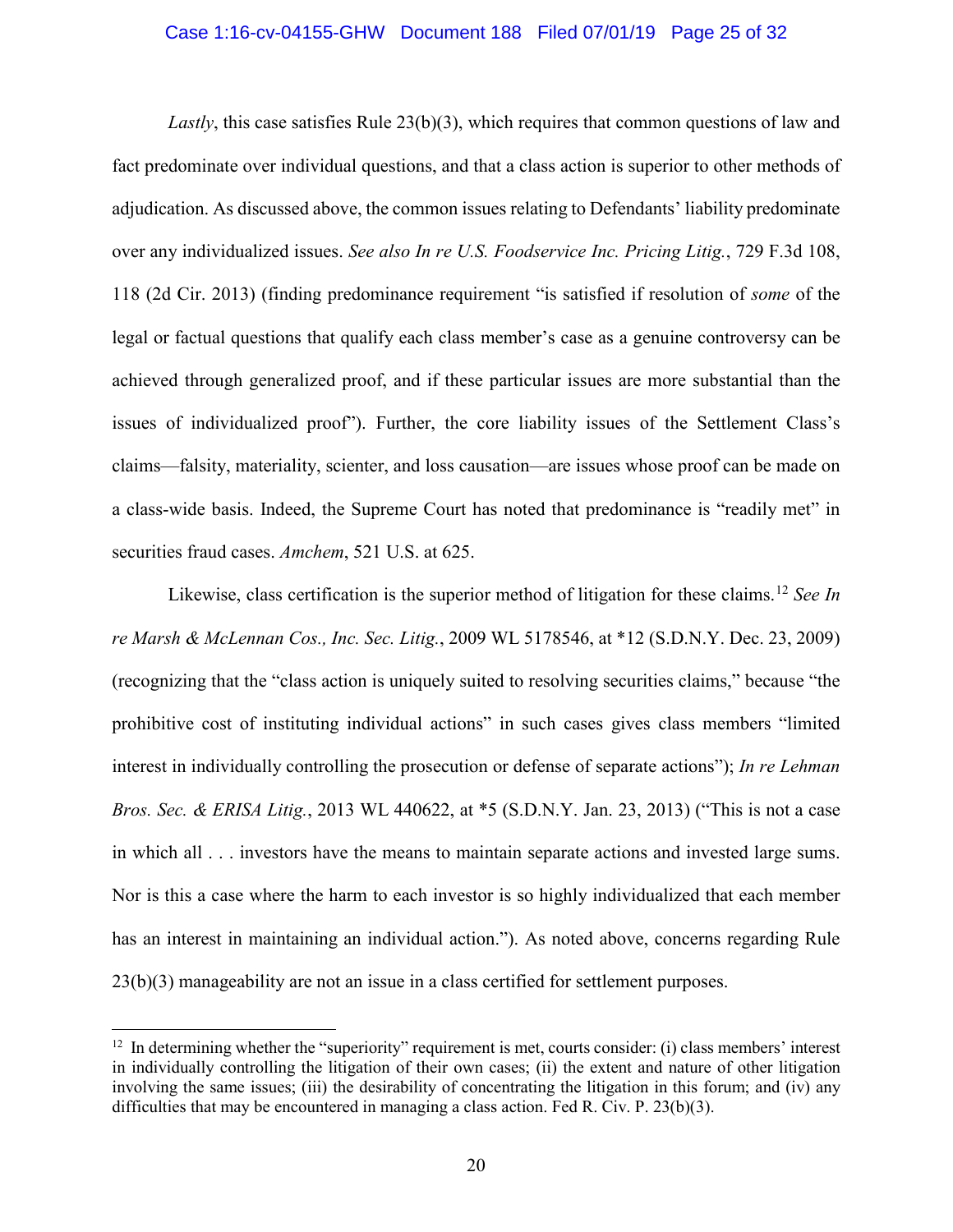#### Case 1:16-cv-04155-GHW Document 188 Filed 07/01/19 Page 25 of 32

<span id="page-24-3"></span>*Lastly*, this case satisfies Rule 23(b)(3), which requires that common questions of law and fact predominate over individual questions, and that a class action is superior to other methods of adjudication. As discussed above, the common issues relating to Defendants' liability predominate over any individualized issues. *See also In re U.S. Foodservice Inc. Pricing Litig.*, 729 F.3d 108, 118 (2d Cir. 2013) (finding predominance requirement "is satisfied if resolution of *some* of the legal or factual questions that qualify each class member's case as a genuine controversy can be achieved through generalized proof, and if these particular issues are more substantial than the issues of individualized proof"). Further, the core liability issues of the Settlement Class's claims—falsity, materiality, scienter, and loss causation—are issues whose proof can be made on a class-wide basis. Indeed, the Supreme Court has noted that predominance is "readily met" in securities fraud cases. *Amchem*, 521 U.S. at 625.

<span id="page-24-2"></span><span id="page-24-1"></span><span id="page-24-0"></span>Likewise, class certification is the superior method of litigation for these claims.[12](#page-24-4) *See In re Marsh & McLennan Cos., Inc. Sec. Litig.*, 2009 WL 5178546, at \*12 (S.D.N.Y. Dec. 23, 2009) (recognizing that the "class action is uniquely suited to resolving securities claims," because "the prohibitive cost of instituting individual actions" in such cases gives class members "limited interest in individually controlling the prosecution or defense of separate actions"); *In re Lehman Bros. Sec. & ERISA Litig.*, 2013 WL 440622, at \*5 (S.D.N.Y. Jan. 23, 2013) ("This is not a case in which all . . . investors have the means to maintain separate actions and invested large sums. Nor is this a case where the harm to each investor is so highly individualized that each member has an interest in maintaining an individual action."). As noted above, concerns regarding Rule 23(b)(3) manageability are not an issue in a class certified for settlement purposes.

<span id="page-24-4"></span> $12$  In determining whether the "superiority" requirement is met, courts consider: (i) class members' interest in individually controlling the litigation of their own cases; (ii) the extent and nature of other litigation involving the same issues; (iii) the desirability of concentrating the litigation in this forum; and (iv) any difficulties that may be encountered in managing a class action. Fed R. Civ. P. 23(b)(3).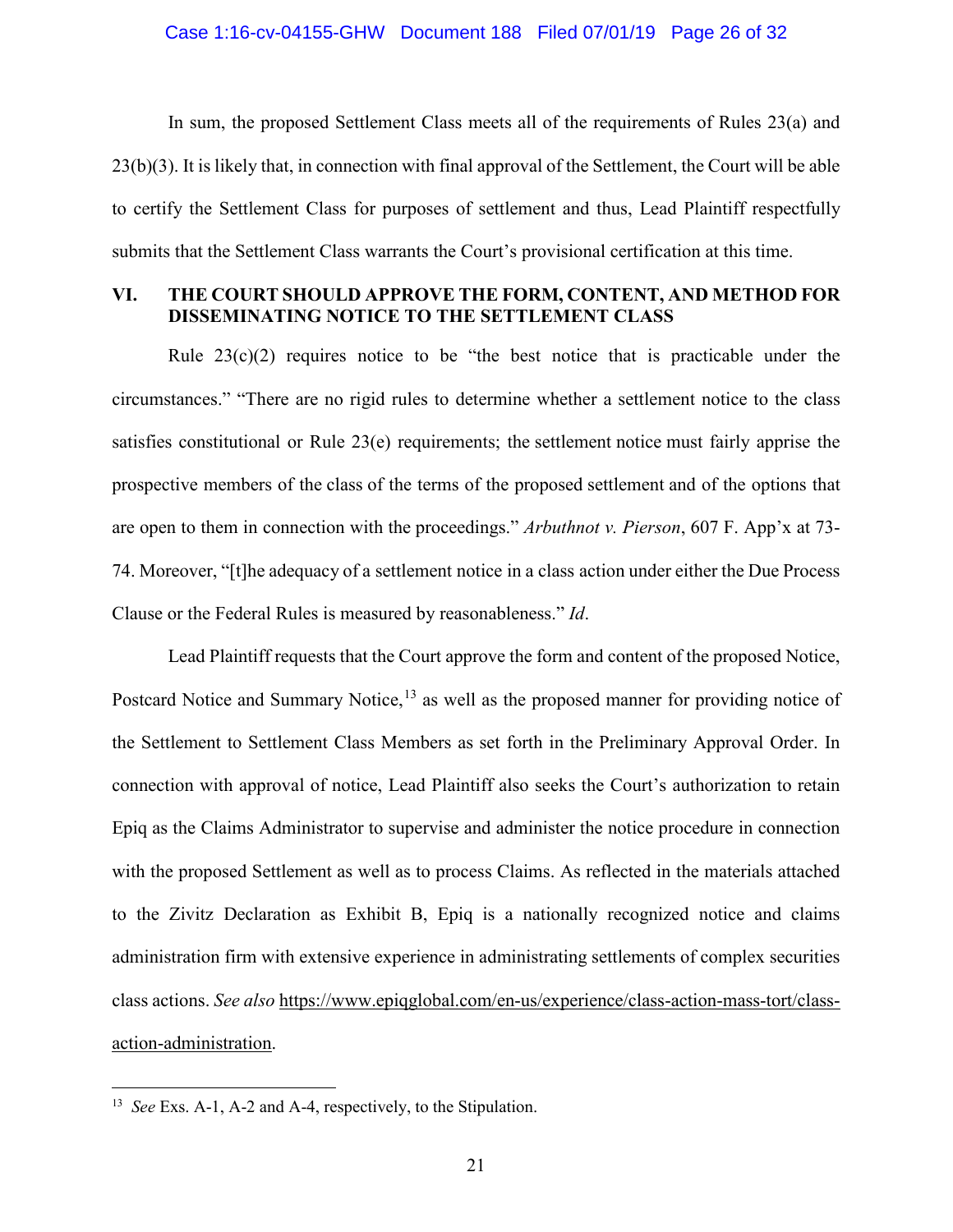In sum, the proposed Settlement Class meets all of the requirements of Rules 23(a) and 23(b)(3). It is likely that, in connection with final approval of the Settlement, the Court will be able to certify the Settlement Class for purposes of settlement and thus, Lead Plaintiff respectfully submits that the Settlement Class warrants the Court's provisional certification at this time.

## **VI. THE COURT SHOULD APPROVE THE FORM, CONTENT, AND METHOD FOR DISSEMINATING NOTICE TO THE SETTLEMENT CLASS**

Rule  $23(c)(2)$  requires notice to be "the best notice that is practicable under the circumstances." "There are no rigid rules to determine whether a settlement notice to the class satisfies constitutional or Rule 23(e) requirements; the settlement notice must fairly apprise the prospective members of the class of the terms of the proposed settlement and of the options that are open to them in connection with the proceedings." *Arbuthnot v. Pierson*, 607 F. App'x at 73- 74. Moreover, "[t]he adequacy of a settlement notice in a class action under either the Due Process Clause or the Federal Rules is measured by reasonableness." *Id*.

<span id="page-25-0"></span>Lead Plaintiff requests that the Court approve the form and content of the proposed Notice, Postcard Notice and Summary Notice,<sup>[13](#page-25-1)</sup> as well as the proposed manner for providing notice of the Settlement to Settlement Class Members as set forth in the Preliminary Approval Order. In connection with approval of notice, Lead Plaintiff also seeks the Court's authorization to retain Epiq as the Claims Administrator to supervise and administer the notice procedure in connection with the proposed Settlement as well as to process Claims. As reflected in the materials attached to the Zivitz Declaration as Exhibit B, Epiq is a nationally recognized notice and claims administration firm with extensive experience in administrating settlements of complex securities class actions. *See also* [https://www.epiqglobal.com/en-us/experience/class-action-mass-tort/class](https://www.epiqglobal.com/en-us/experience/class-action-mass-tort/class-action-administration)[action-administration.](https://www.epiqglobal.com/en-us/experience/class-action-mass-tort/class-action-administration)

<span id="page-25-1"></span> <sup>13</sup> *See* Exs. A-1, A-2 and A-4, respectively, to the Stipulation.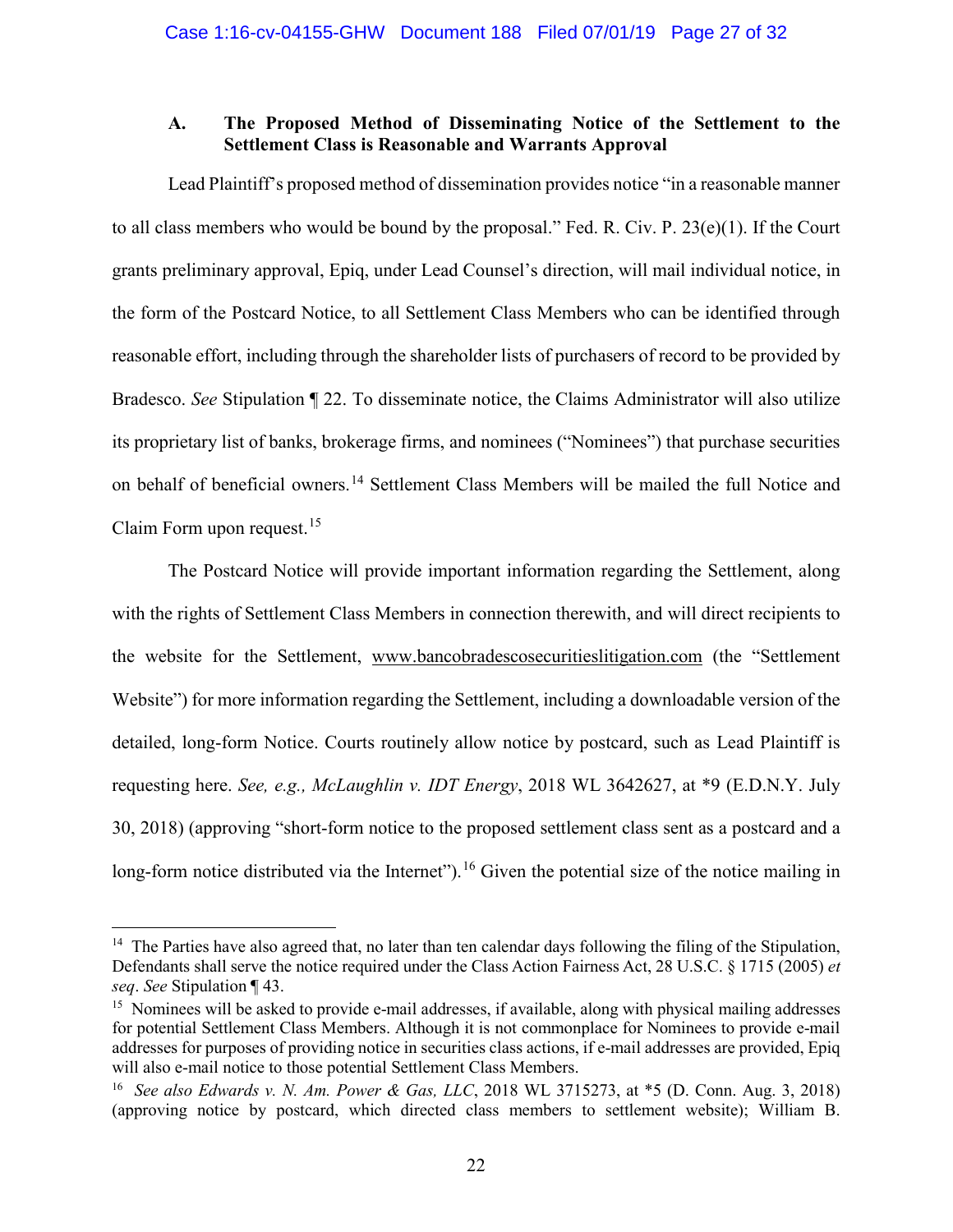## **A. The Proposed Method of Disseminating Notice of the Settlement to the Settlement Class is Reasonable and Warrants Approval**

Lead Plaintiff's proposed method of dissemination provides notice "in a reasonable manner to all class members who would be bound by the proposal." Fed. R. Civ. P. 23(e)(1). If the Court grants preliminary approval, Epiq, under Lead Counsel's direction, will mail individual notice, in the form of the Postcard Notice, to all Settlement Class Members who can be identified through reasonable effort, including through the shareholder lists of purchasers of record to be provided by Bradesco. *See* Stipulation ¶ 22. To disseminate notice, the Claims Administrator will also utilize its proprietary list of banks, brokerage firms, and nominees ("Nominees") that purchase securities on behalf of beneficial owners.[14](#page-26-3) Settlement Class Members will be mailed the full Notice and Claim Form upon request.<sup>[15](#page-26-4)</sup>

The Postcard Notice will provide important information regarding the Settlement, along with the rights of Settlement Class Members in connection therewith, and will direct recipients to the website for the Settlement, [www.bancobradescosecuritieslitigation.com](http://www.bancobradescosecuritieslitigation.com/) (the "Settlement Website") for more information regarding the Settlement, including a downloadable version of the detailed, long-form Notice. Courts routinely allow notice by postcard, such as Lead Plaintiff is requesting here. *See, e.g., McLaughlin v. IDT Energy*, 2018 WL 3642627, at \*9 (E.D.N.Y. July 30, 2018) (approving "short-form notice to the proposed settlement class sent as a postcard and a long-form notice distributed via the Internet"). <sup>[16](#page-26-5)</sup> Given the potential size of the notice mailing in

<span id="page-26-3"></span><span id="page-26-1"></span><sup>&</sup>lt;sup>14</sup> The Parties have also agreed that, no later than ten calendar days following the filing of the Stipulation, Defendants shall serve the notice required under the Class Action Fairness Act, 28 U.S.C. § 1715 (2005) *et seq*. *See* Stipulation ¶ 43.

<span id="page-26-4"></span><sup>&</sup>lt;sup>15</sup> Nominees will be asked to provide e-mail addresses, if available, along with physical mailing addresses for potential Settlement Class Members. Although it is not commonplace for Nominees to provide e-mail addresses for purposes of providing notice in securities class actions, if e-mail addresses are provided, Epiq will also e-mail notice to those potential Settlement Class Members.

<span id="page-26-5"></span><span id="page-26-2"></span><span id="page-26-0"></span><sup>16</sup> *See also Edwards v. N. Am. Power & Gas, LLC*, 2018 WL 3715273, at \*5 (D. Conn. Aug. 3, 2018) (approving notice by postcard, which directed class members to settlement website); William B.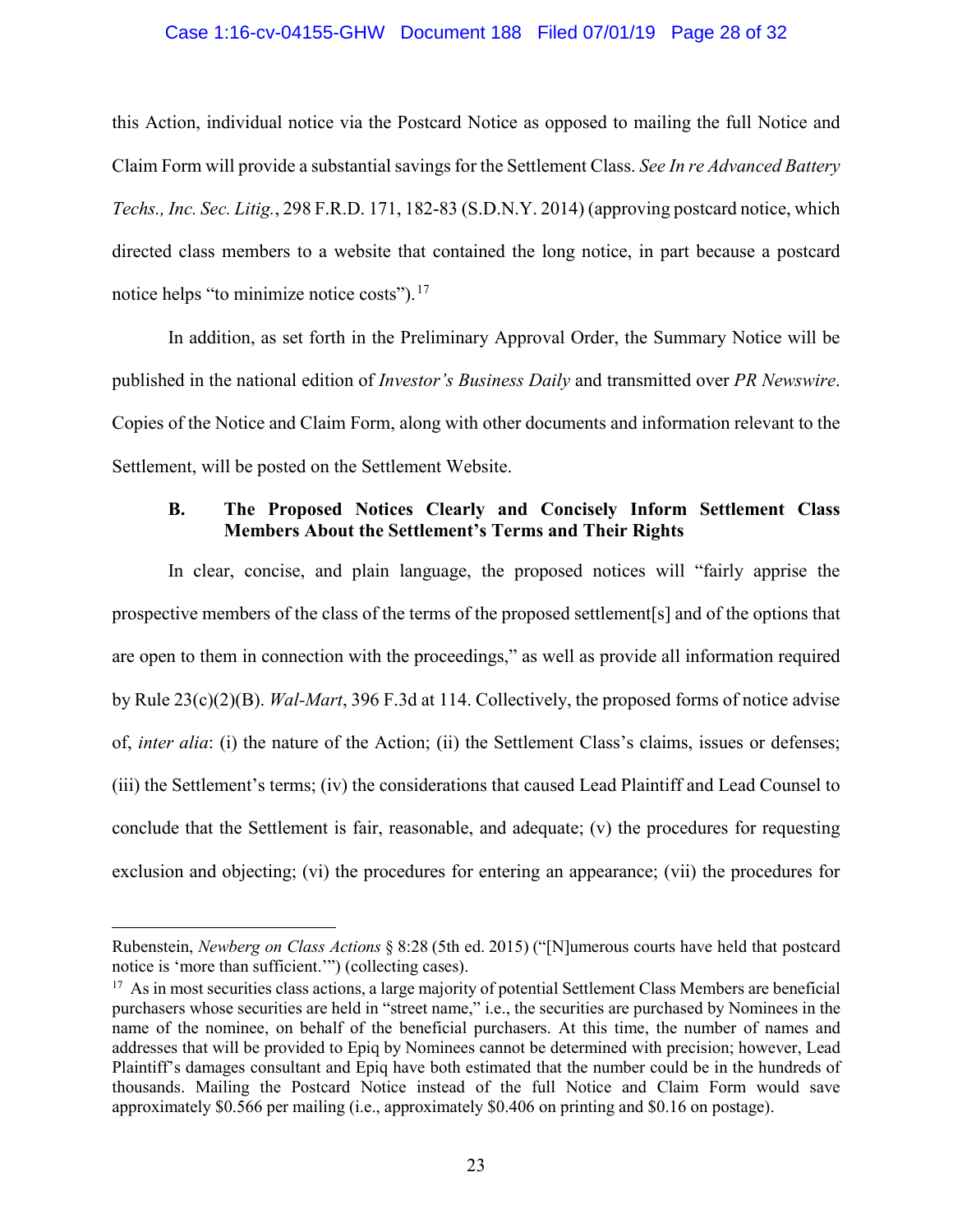#### <span id="page-27-0"></span>Case 1:16-cv-04155-GHW Document 188 Filed 07/01/19 Page 28 of 32

this Action, individual notice via the Postcard Notice as opposed to mailing the full Notice and Claim Form will provide a substantial savings for the Settlement Class. *See In re Advanced Battery Techs., Inc. Sec. Litig.*, 298 F.R.D. 171, 182-83 (S.D.N.Y. 2014) (approving postcard notice, which directed class members to a website that contained the long notice, in part because a postcard notice helps "to minimize notice costs").<sup>[17](#page-27-2)</sup>

In addition, as set forth in the Preliminary Approval Order, the Summary Notice will be published in the national edition of *Investor's Business Daily* and transmitted over *PR Newswire*. Copies of the Notice and Claim Form, along with other documents and information relevant to the Settlement, will be posted on the Settlement Website.

## **B. The Proposed Notices Clearly and Concisely Inform Settlement Class Members About the Settlement's Terms and Their Rights**

<span id="page-27-1"></span>In clear, concise, and plain language, the proposed notices will "fairly apprise the prospective members of the class of the terms of the proposed settlement[s] and of the options that are open to them in connection with the proceedings," as well as provide all information required by Rule 23(c)(2)(B). *Wal-Mart*, 396 F.3d at 114. Collectively, the proposed forms of notice advise of, *inter alia*: (i) the nature of the Action; (ii) the Settlement Class's claims, issues or defenses; (iii) the Settlement's terms; (iv) the considerations that caused Lead Plaintiff and Lead Counsel to conclude that the Settlement is fair, reasonable, and adequate; (v) the procedures for requesting exclusion and objecting; (vi) the procedures for entering an appearance; (vii) the procedures for

 $\overline{a}$ 

Rubenstein, *Newberg on Class Actions* § 8:28 (5th ed. 2015) ("[N]umerous courts have held that postcard notice is 'more than sufficient.'") (collecting cases).

<span id="page-27-2"></span><sup>&</sup>lt;sup>17</sup> As in most securities class actions, a large majority of potential Settlement Class Members are beneficial purchasers whose securities are held in "street name," i.e., the securities are purchased by Nominees in the name of the nominee, on behalf of the beneficial purchasers. At this time, the number of names and addresses that will be provided to Epiq by Nominees cannot be determined with precision; however, Lead Plaintiff's damages consultant and Epiq have both estimated that the number could be in the hundreds of thousands. Mailing the Postcard Notice instead of the full Notice and Claim Form would save approximately \$0.566 per mailing (i.e., approximately \$0.406 on printing and \$0.16 on postage).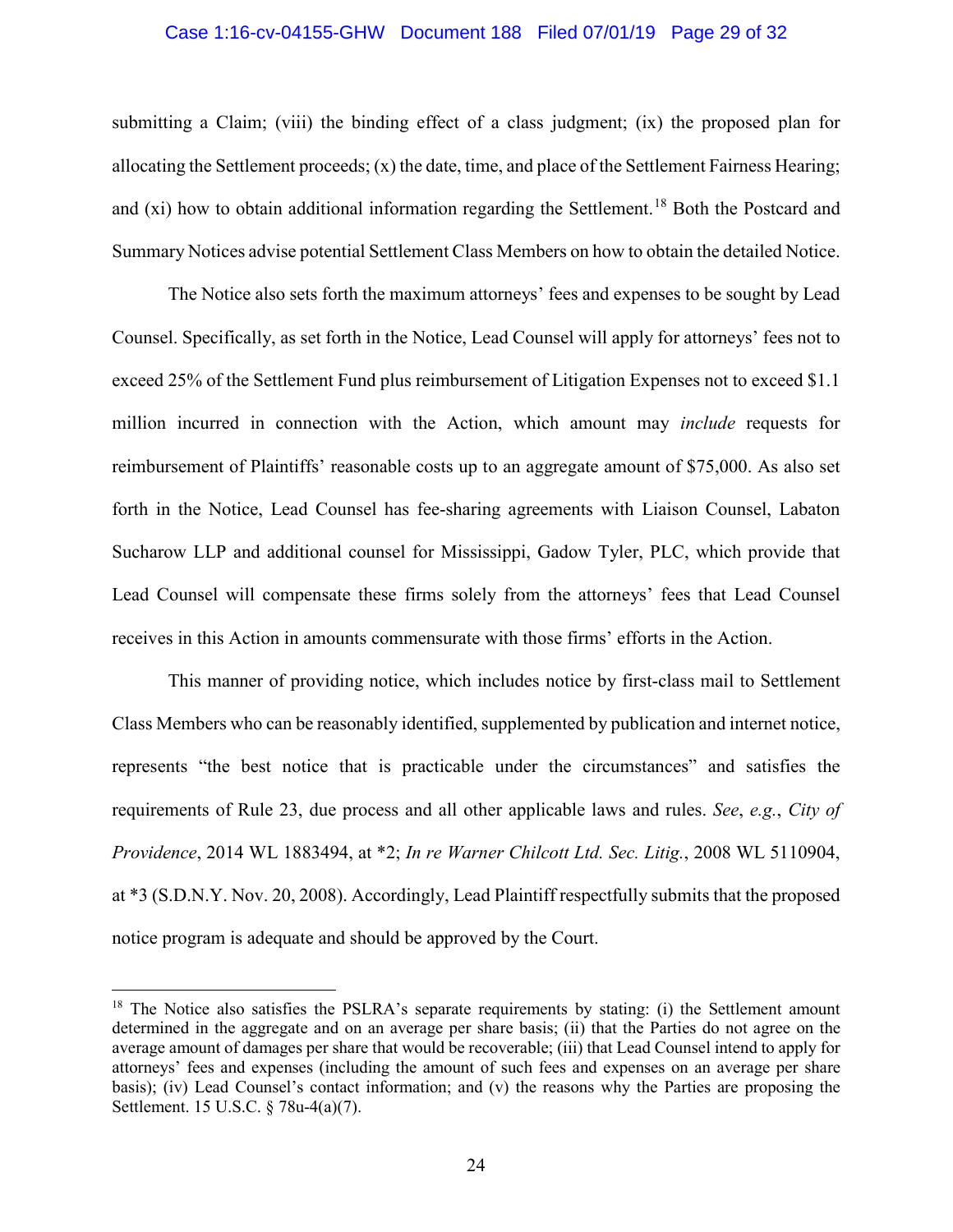#### Case 1:16-cv-04155-GHW Document 188 Filed 07/01/19 Page 29 of 32

submitting a Claim; (viii) the binding effect of a class judgment; (ix) the proposed plan for allocating the Settlement proceeds;  $(x)$  the date, time, and place of the Settlement Fairness Hearing; and  $(x_i)$  how to obtain additional information regarding the Settlement.<sup>[18](#page-28-3)</sup> Both the Postcard and Summary Notices advise potential Settlement Class Members on how to obtain the detailed Notice.

The Notice also sets forth the maximum attorneys' fees and expenses to be sought by Lead Counsel. Specifically, as set forth in the Notice, Lead Counsel will apply for attorneys' fees not to exceed 25% of the Settlement Fund plus reimbursement of Litigation Expenses not to exceed \$1.1 million incurred in connection with the Action, which amount may *include* requests for reimbursement of Plaintiffs' reasonable costs up to an aggregate amount of \$75,000. As also set forth in the Notice, Lead Counsel has fee-sharing agreements with Liaison Counsel, Labaton Sucharow LLP and additional counsel for Mississippi, Gadow Tyler, PLC, which provide that Lead Counsel will compensate these firms solely from the attorneys' fees that Lead Counsel receives in this Action in amounts commensurate with those firms' efforts in the Action.

<span id="page-28-0"></span>This manner of providing notice, which includes notice by first-class mail to Settlement Class Members who can be reasonably identified, supplemented by publication and internet notice, represents "the best notice that is practicable under the circumstances" and satisfies the requirements of Rule 23, due process and all other applicable laws and rules. *See*, *e.g.*, *City of Providence*, 2014 WL 1883494, at \*2; *In re Warner Chilcott Ltd. Sec. Litig.*, 2008 WL 5110904, at \*3 (S.D.N.Y. Nov. 20, 2008). Accordingly, Lead Plaintiff respectfully submits that the proposed notice program is adequate and should be approved by the Court.

<span id="page-28-3"></span><span id="page-28-2"></span><span id="page-28-1"></span><sup>&</sup>lt;sup>18</sup> The Notice also satisfies the PSLRA's separate requirements by stating: (i) the Settlement amount determined in the aggregate and on an average per share basis; (ii) that the Parties do not agree on the average amount of damages per share that would be recoverable; (iii) that Lead Counsel intend to apply for attorneys' fees and expenses (including the amount of such fees and expenses on an average per share basis); (iv) Lead Counsel's contact information; and (v) the reasons why the Parties are proposing the Settlement. 15 U.S.C. § 78u-4(a)(7).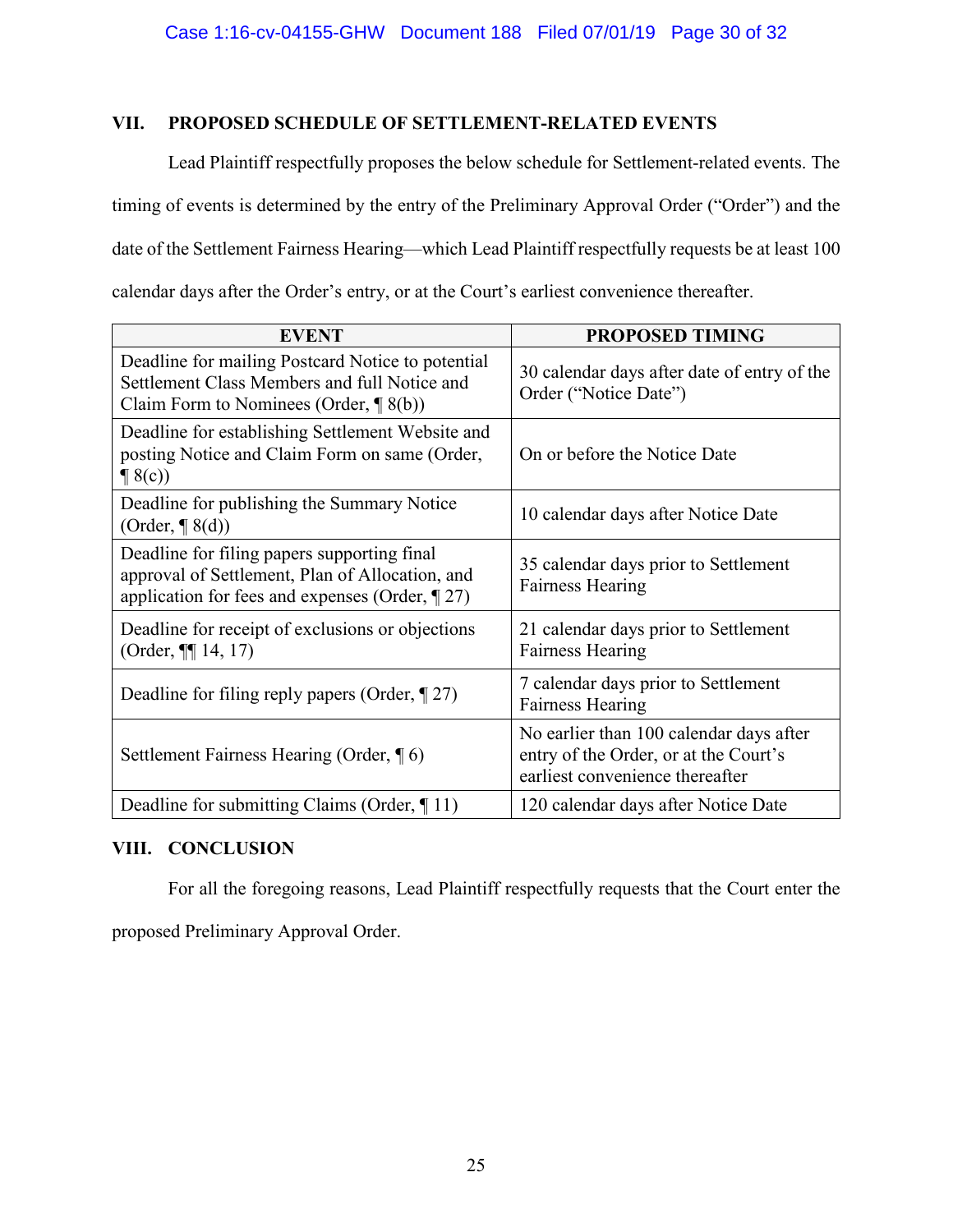# **VII. PROPOSED SCHEDULE OF SETTLEMENT-RELATED EVENTS**

Lead Plaintiff respectfully proposes the below schedule for Settlement-related events. The timing of events is determined by the entry of the Preliminary Approval Order ("Order") and the date of the Settlement Fairness Hearing—which Lead Plaintiff respectfully requests be at least 100 calendar days after the Order's entry, or at the Court's earliest convenience thereafter.

| <b>EVENT</b>                                                                                                                                         | <b>PROPOSED TIMING</b>                                                                                              |
|------------------------------------------------------------------------------------------------------------------------------------------------------|---------------------------------------------------------------------------------------------------------------------|
| Deadline for mailing Postcard Notice to potential<br>Settlement Class Members and full Notice and<br>Claim Form to Nominees (Order, $\P$ 8(b))       | 30 calendar days after date of entry of the<br>Order ("Notice Date")                                                |
| Deadline for establishing Settlement Website and<br>posting Notice and Claim Form on same (Order,<br>$\P$ 8(c))                                      | On or before the Notice Date                                                                                        |
| Deadline for publishing the Summary Notice<br>$(Order, \P8(d))$                                                                                      | 10 calendar days after Notice Date                                                                                  |
| Deadline for filing papers supporting final<br>approval of Settlement, Plan of Allocation, and<br>application for fees and expenses (Order, $\P$ 27) | 35 calendar days prior to Settlement<br><b>Fairness Hearing</b>                                                     |
| Deadline for receipt of exclusions or objections<br>(Order, $\P\P$ 14, 17)                                                                           | 21 calendar days prior to Settlement<br><b>Fairness Hearing</b>                                                     |
| Deadline for filing reply papers (Order, $\P$ 27)                                                                                                    | 7 calendar days prior to Settlement<br><b>Fairness Hearing</b>                                                      |
| Settlement Fairness Hearing (Order, 16)                                                                                                              | No earlier than 100 calendar days after<br>entry of the Order, or at the Court's<br>earliest convenience thereafter |
| Deadline for submitting Claims (Order, $\P$ 11)                                                                                                      | 120 calendar days after Notice Date                                                                                 |

## **VIII. CONCLUSION**

For all the foregoing reasons, Lead Plaintiff respectfully requests that the Court enter the

proposed Preliminary Approval Order.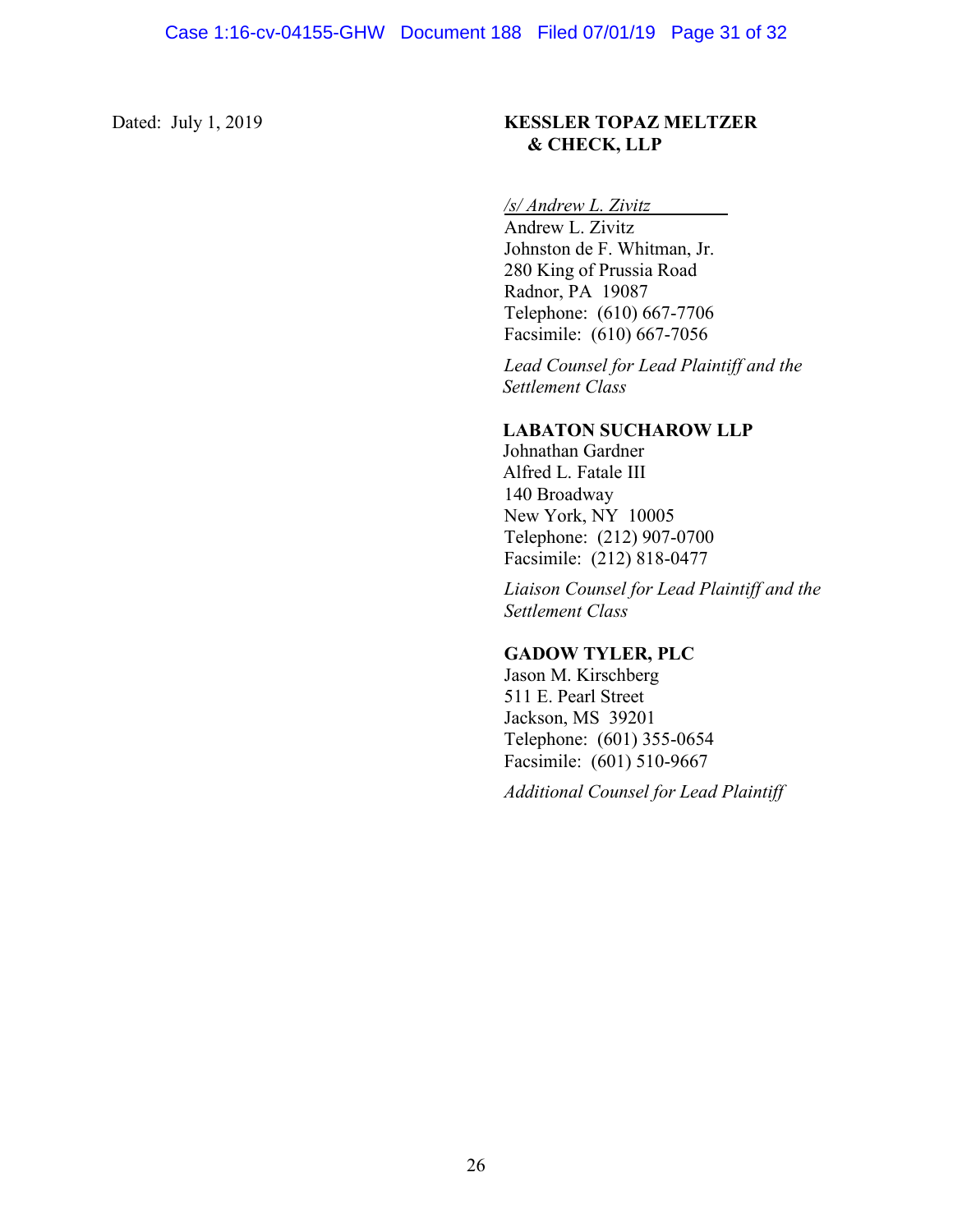## Dated: July 1, 2019 **KESSLER TOPAZ MELTZER & CHECK, LLP**

# */s/ Andrew L. Zivitz*

Andrew L. Zivitz Johnston de F. Whitman, Jr. 280 King of Prussia Road Radnor, PA 19087 Telephone: (610) 667-7706 Facsimile: (610) 667-7056

*Lead Counsel for Lead Plaintiff and the Settlement Class*

## **LABATON SUCHAROW LLP**

Johnathan Gardner Alfred L. Fatale III 140 Broadway New York, NY 10005 Telephone: (212) 907-0700 Facsimile: (212) 818-0477

*Liaison Counsel for Lead Plaintiff and the Settlement Class*

## **GADOW TYLER, PLC**

Jason M. Kirschberg 511 E. Pearl Street Jackson, MS 39201 Telephone: (601) 355-0654 Facsimile: (601) 510-9667

*Additional Counsel for Lead Plaintiff*